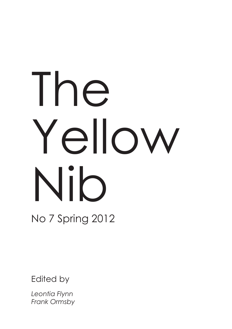# The Yellow Nib No 7 Spring 2012

Edited by

*Leontia Flynn Frank Ormsby*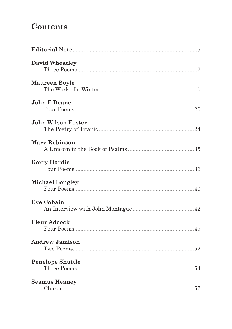# Contents

| <b>David Wheatley</b>   |  |
|-------------------------|--|
| <b>Maureen Boyle</b>    |  |
| <b>John F Deane</b>     |  |
| John Wilson Foster      |  |
| <b>Mary Robinson</b>    |  |
| <b>Kerry Hardie</b>     |  |
| <b>Michael Longley</b>  |  |
| <b>Eve Cobain</b>       |  |
| <b>Fleur Adcock</b>     |  |
| <b>Andrew Jamison</b>   |  |
| <b>Penelope Shuttle</b> |  |
| <b>Seamus Heaney</b>    |  |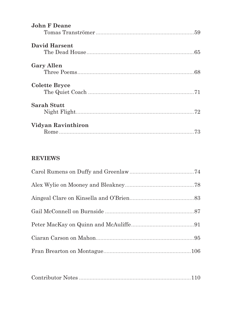| <b>John F Deane</b>  |    |
|----------------------|----|
| <b>David Harsent</b> |    |
| <b>Gary Allen</b>    |    |
| <b>Colette Bryce</b> |    |
| Sarah Stutt          |    |
| Vidyan Ravinthiron   | 73 |

# **REVIEWS**

|--|--|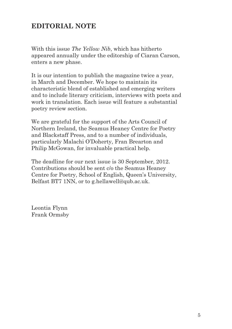# **EDITORIAL NOTE**

With this issue *The Yellow Nib*, which has hitherto appeared annually under the editorship of Ciaran Carson, enters a new phase.

It is our intention to publish the magazine twice a year, in March and December. We hope to maintain its characteristic blend of established and emerging writers and to include literary criticism, interviews with poets and work in translation. Each issue will feature a substantial poetry review section.

We are grateful for the support of the Arts Council of Northern Ireland, the Seamus Heaney Centre for Poetry and Blackstaff Press, and to a number of individuals, particularly Malachi O'Doherty, Fran Brearton and Philip McGowan, for invaluable practical help.

The deadline for our next issue is 30 September, 2012. Contributions should be sent c/o the Seamus Heaney Centre for Poetry, School of English, Queen's University, Belfast BT7 1NN, or to g.hellawell@qub.ac.uk.

Leontia Flynn Frank Ormsby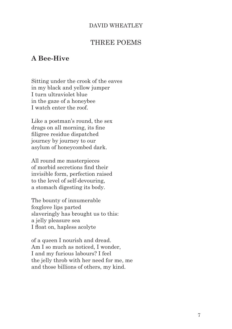#### David Wheatley

## THREE POEMS

## **A Bee-Hive**

Sitting under the crook of the eaves in my black and yellow jumper I turn ultraviolet blue in the gaze of a honeybee I watch enter the roof.

Like a postman's round, the sex drags on all morning, its fine filigree residue dispatched journey by journey to our asylum of honeycombed dark.

All round me masterpieces of morbid secretions find their invisible form, perfection raised to the level of self-devouring, a stomach digesting its body.

The bounty of innumerable foxglove lips parted slaveringly has brought us to this: a jelly pleasure sea I float on, hapless acolyte

of a queen I nourish and dread. Am I so much as noticed, I wonder, I and my furious labours? I feel the jelly throb with her need for me, me and those billions of others, my kind.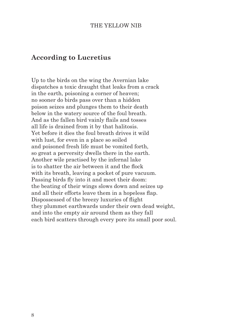# **According to Lucretius**

Up to the birds on the wing the Avernian lake dispatches a toxic draught that leaks from a crack in the earth, poisoning a corner of heaven; no sooner do birds pass over than a hidden poison seizes and plunges them to their death below in the watery source of the foul breath. And as the fallen bird vainly flails and tosses all life is drained from it by that halitosis. Yet before it dies the foul breath drives it wild with lust, for even in a place so soiled and poisoned fresh life must be vomited forth, so great a perversity dwells there in the earth. Another wile practised by the infernal lake is to shatter the air between it and the flock with its breath, leaving a pocket of pure vacuum. Passing birds fly into it and meet their doom: the beating of their wings slows down and seizes up and all their efforts leave them in a hopeless flap. Dispossessed of the breezy luxuries of flight they plummet earthwards under their own dead weight, and into the empty air around them as they fall each bird scatters through every pore its small poor soul.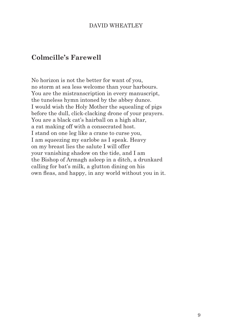#### David Wheatley

# **Colmcille's Farewell**

No horizon is not the better for want of you, no storm at sea less welcome than your harbours. You are the mistranscription in every manuscript, the tuneless hymn intoned by the abbey dunce. I would wish the Holy Mother the squealing of pigs before the dull, click-clacking drone of your prayers. You are a black cat's hairball on a high altar, a rat making off with a consecrated host. I stand on one leg like a crane to curse you, I am squeezing my earlobe as I speak. Heavy on my breast lies the salute I will offer your vanishing shadow on the tide, and I am the Bishop of Armagh asleep in a ditch, a drunkard calling for bat's milk, a glutton dining on his own fleas, and happy, in any world without you in it.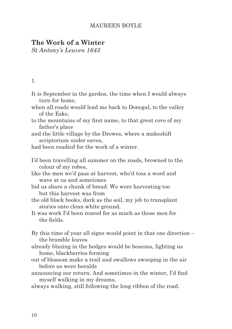#### MAUREEN BOYLE

## **The Work of a Winter**

*St Antony's Leuven 1643*

#### 1.

It is September in the garden, the time when I would always turn for home, when all roads would lead me back to Donegal, to the valley of the Eske, to the mountains of my first name, to that great cove of my father's place and the little village by the Drowes, where a makeshift scriptorium under eaves, had been readied for the work of a winter. I'd been travelling all summer on the roads, browned to the colour of my robes, like the men we'd pass at harvest, who'd toss a word and wave at us and sometimes bid us share a chunk of bread. We were harvesting too but this harvest was from the old black books, dark as the soil, my job to transplant stories onto clean white ground. It was work I'd been reared for as much as those men for the fields. By this time of year all signs would point in that one direction – the bramble leaves already blazing in the hedges would be beacons, lighting us home, blackberries forming out of blossom make a trail and swallows swooping in the air before us were heralds announcing our return. And sometimes in the winter, I'd find myself walking in my dreams, always walking, still following the long ribbon of the road.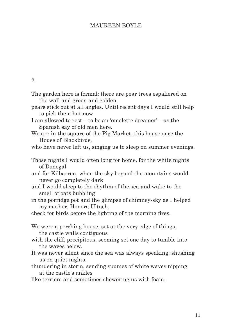# Maureen Boyle

| The garden here is formal: there are pear trees espaliered on<br>the wall and green and golden |
|------------------------------------------------------------------------------------------------|
| pears stick out at all angles. Until recent days I would still help<br>to pick them but now    |
| I am allowed to rest – to be an 'omelette dreamer' – as the<br>Spanish say of old men here.    |
| We are in the square of the Pig Market, this house once the<br>House of Blackbirds,            |
| who have never left us, singing us to sleep on summer evenings.                                |
| Those nights I would often long for home, for the white nights<br>of Donegal                   |
| and for Kilbarron, when the sky beyond the mountains would<br>never go completely dark         |
| and I would sleep to the rhythm of the sea and wake to the<br>smell of oats bubbling           |
| in the porridge pot and the glimpse of chimney-sky as I helped<br>my mother, Honora Ultach,    |
| check for birds before the lighting of the morning fires.                                      |
| We were a perching house, set at the very edge of things,<br>the castle walls contiguous       |
| with the cliff, precipitous, seeming set one day to tumble into<br>the waves below.            |
| It was never silent since the sea was always speaking: shushing<br>us on quiet nights,         |
| thundering in storm, sending spumes of white waves nipping<br>at the castle's ankles           |
| like terriers and sometimes showering us with foam.                                            |
|                                                                                                |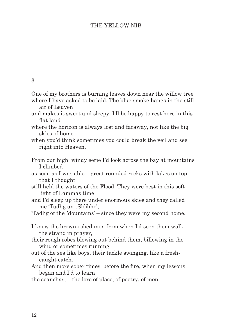3.

| One of my brothers is burning leaves down near the willow tree    |
|-------------------------------------------------------------------|
| where I have asked to be laid. The blue smoke hangs in the still  |
| air of Leuven                                                     |
| and makes it sweet and sleepy. I'll be happy to rest here in this |
| flat land                                                         |
| where the horizon is always lost and faraway, not like the big    |
| skies of home                                                     |
| when you'd think sometimes you could break the veil and see       |

right into Heaven.

- From our high, windy eerie I'd look across the bay at mountains I climbed
- as soon as I was able great rounded rocks with lakes on top that I thought
- still held the waters of the Flood. They were best in this soft light of Lammas time
- and I'd sleep up there under enormous skies and they called me 'Tadhg an tSléibhe',

'Tadhg of the Mountains' – since they were my second home.

- I knew the brown-robed men from when I'd seen them walk the strand in prayer,
- their rough robes blowing out behind them, billowing in the wind or sometimes running
- out of the sea like boys, their tackle swinging, like a freshcaught catch.
- And then more sober times, before the fire, when my lessons began and I'd to learn
- the seanchas, the lore of place, of poetry, of men.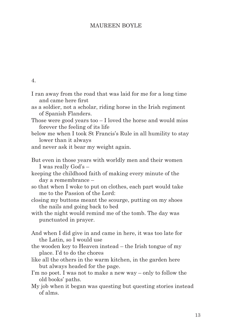# Maureen Boyle

| I ran away from the road that was laid for me for a long time<br>and came here first             |
|--------------------------------------------------------------------------------------------------|
| as a soldier, not a scholar, riding horse in the Irish regiment<br>of Spanish Flanders.          |
| Those were good years too $-1$ loved the horse and would miss<br>forever the feeling of its life |
| below me when I took St Francis's Rule in all humility to stay<br>lower than it always           |
| and never ask it bear my weight again.                                                           |
| But even in those years with worldly men and their women<br>I was really God's -                 |
| keeping the childhood faith of making every minute of the<br>day a remembrance -                 |
| so that when I woke to put on clothes, each part would take<br>me to the Passion of the Lord:    |
| closing my buttons meant the scourge, putting on my shoes<br>the nails and going back to bed     |
| with the night would remind me of the tomb. The day was<br>punctuated in prayer.                 |
| And when I did give in and came in here, it was too late for<br>the Latin, so I would use        |
| the wooden key to Heaven instead – the Irish tongue of my<br>place. I'd to do the chores         |
| like all the others in the warm kitchen, in the garden here<br>but always headed for the page.   |
| I'm no poet. I was not to make a new way – only to follow the<br>old books' paths.               |
| My job when it began was questing but questing stories instead<br>of alms.                       |
|                                                                                                  |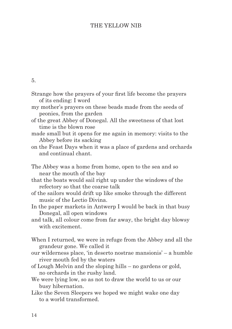| Strange how the prayers of your first life become the prayers                                    |
|--------------------------------------------------------------------------------------------------|
| of its ending: I word<br>my mother's prayers on these beads made from the seeds of               |
| peonies, from the garden                                                                         |
| of the great Abbey of Donegal. All the sweetness of that lost<br>time is the blown rose          |
| made small but it opens for me again in memory: visits to the<br>Abbey before its sacking        |
| on the Feast Days when it was a place of gardens and orchards<br>and continual chant.            |
| The Abbey was a home from home, open to the sea and so<br>near the mouth of the bay              |
| that the boats would sail right up under the windows of the<br>refectory so that the coarse talk |
| of the sailors would drift up like smoke through the different<br>music of the Lectio Divina.    |
| In the paper markets in Antwerp I would be back in that busy<br>Donegal, all open windows        |
| and talk, all colour come from far away, the bright day blowsy<br>with excitement.               |
| When I returned, we were in refuge from the Abbey and all the<br>grandeur gone. We called it     |
| our wilderness place, 'in deserto nostrae mansionis' – a humble<br>river mouth fed by the waters |
| of Lough Melvin and the sloping hills – no gardens or gold,<br>no orchards in the rushy land.    |
| We were lying low, so as not to draw the world to us or our<br>busy hibernation.                 |
| Like the Seven Sleepers we hoped we might wake one day<br>to a world transformed.                |
|                                                                                                  |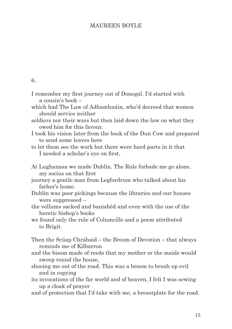# Maureen Boyle

| a cousin's book -<br>which had The Law of Adhamhnáin, who'd decreed that women<br>should service neither<br>soldiers nor their wars but then laid down the law on what they<br>owed him for this favour.<br>I took his vision later from the book of the Dun Cow and prepared<br>to send some leaves here<br>to let them see the work but there were hard parts in it that<br>I needed a scholar's eye on first.<br>At Lughanasa we made Dublin. The Rule forbade me go alone,<br>my socius on that first<br>journey a gentle man from Legfordrum who talked about his<br>father's home.<br>Dublin was poor pickings because the libraries and our houses<br>were suppressed $-$<br>the vellums sacked and banishéd and even with the use of the<br>heretic bishop's books<br>we found only the rule of Columcille and a poem attributed<br>to Brigit.<br>Then the Scúap Chrábaid – the Broom of Devotion – that always<br>reminds me of Kilbarron<br>and the bisom made of reeds that my mother or the maids would<br>sweep round the house,<br>shooing me out of the road. This was a broom to brush up evil<br>and in copying |
|----------------------------------------------------------------------------------------------------------------------------------------------------------------------------------------------------------------------------------------------------------------------------------------------------------------------------------------------------------------------------------------------------------------------------------------------------------------------------------------------------------------------------------------------------------------------------------------------------------------------------------------------------------------------------------------------------------------------------------------------------------------------------------------------------------------------------------------------------------------------------------------------------------------------------------------------------------------------------------------------------------------------------------------------------------------------------------------------------------------------------------|
|                                                                                                                                                                                                                                                                                                                                                                                                                                                                                                                                                                                                                                                                                                                                                                                                                                                                                                                                                                                                                                                                                                                                  |
|                                                                                                                                                                                                                                                                                                                                                                                                                                                                                                                                                                                                                                                                                                                                                                                                                                                                                                                                                                                                                                                                                                                                  |
|                                                                                                                                                                                                                                                                                                                                                                                                                                                                                                                                                                                                                                                                                                                                                                                                                                                                                                                                                                                                                                                                                                                                  |
|                                                                                                                                                                                                                                                                                                                                                                                                                                                                                                                                                                                                                                                                                                                                                                                                                                                                                                                                                                                                                                                                                                                                  |
|                                                                                                                                                                                                                                                                                                                                                                                                                                                                                                                                                                                                                                                                                                                                                                                                                                                                                                                                                                                                                                                                                                                                  |
|                                                                                                                                                                                                                                                                                                                                                                                                                                                                                                                                                                                                                                                                                                                                                                                                                                                                                                                                                                                                                                                                                                                                  |
|                                                                                                                                                                                                                                                                                                                                                                                                                                                                                                                                                                                                                                                                                                                                                                                                                                                                                                                                                                                                                                                                                                                                  |
|                                                                                                                                                                                                                                                                                                                                                                                                                                                                                                                                                                                                                                                                                                                                                                                                                                                                                                                                                                                                                                                                                                                                  |
|                                                                                                                                                                                                                                                                                                                                                                                                                                                                                                                                                                                                                                                                                                                                                                                                                                                                                                                                                                                                                                                                                                                                  |
|                                                                                                                                                                                                                                                                                                                                                                                                                                                                                                                                                                                                                                                                                                                                                                                                                                                                                                                                                                                                                                                                                                                                  |
|                                                                                                                                                                                                                                                                                                                                                                                                                                                                                                                                                                                                                                                                                                                                                                                                                                                                                                                                                                                                                                                                                                                                  |
|                                                                                                                                                                                                                                                                                                                                                                                                                                                                                                                                                                                                                                                                                                                                                                                                                                                                                                                                                                                                                                                                                                                                  |
| its invocations of the far world and of heaven, I felt I was sewing<br>up a cloak of prayer                                                                                                                                                                                                                                                                                                                                                                                                                                                                                                                                                                                                                                                                                                                                                                                                                                                                                                                                                                                                                                      |
| and of protection that I'd take with me, a breastplate for the road.                                                                                                                                                                                                                                                                                                                                                                                                                                                                                                                                                                                                                                                                                                                                                                                                                                                                                                                                                                                                                                                             |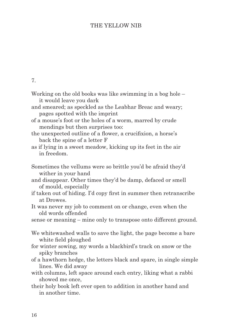7.

| Working on the old books was like swimming in a bog hole -<br>it would leave you dark         |
|-----------------------------------------------------------------------------------------------|
| and smeared; as speckled as the Leabhar Breac and weary;<br>pages spotted with the imprint    |
| of a mouse's foot or the holes of a worm, marred by crude<br>mendings but then surprises too: |
| the unexpected outline of a flower, a crucifixion, a horse's<br>back the spine of a letter F  |
| as if lying in a sweet meadow, kicking up its feet in the air<br>in freedom.                  |
| Sometimes the vellums were so brittle you'd be afraid they'd<br>wither in your hand           |
| and disappear. Other times they'd be damp, defaced or smell<br>of mould, especially           |
| if taken out of hiding. I'd copy first in summer then retranscribe<br>at Drowes.              |
| It was never my job to comment on or change, even when the<br>old words offended              |
| sense or meaning – mine only to transpose onto different ground.                              |
| We whitewashed walls to save the light, the page become a bare<br>white field ploughed        |
| for winter sowing, my words a blackbird's track on snow or the<br>spiky branches              |
| of a hawthorn hedge, the letters black and spare, in single simple<br>lines. We did away      |
| with columns, left space around each entry, liking what a rabbi<br>showed me once,            |

their holy book left ever open to addition in another hand and in another time.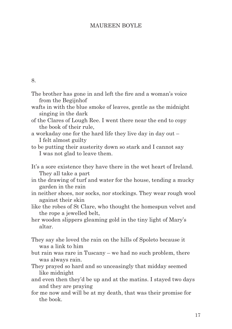# Maureen Boyle

| The brother has gone in and left the fire and a woman's voice                                               |
|-------------------------------------------------------------------------------------------------------------|
| from the Begijnhof<br>wafts in with the blue smoke of leaves, gentle as the midnight<br>singing in the dark |
| of the Clares of Lough Ree. I went there near the end to copy<br>the book of their rule,                    |
| a workaday one for the hard life they live day in day out -<br>I felt almost guilty                         |
| to be putting their austerity down so stark and I cannot say<br>I was not glad to leave them.               |
| It's a sore existence they have there in the wet heart of Ireland.<br>They all take a part                  |
| in the drawing of turf and water for the house, tending a mucky<br>garden in the rain                       |
| in neither shoes, nor socks, nor stockings. They wear rough wool<br>against their skin                      |
| like the robes of St Clare, who thought the homespun velvet and<br>the rope a jewelled belt,                |
| her wooden slippers gleaming gold in the tiny light of Mary's<br>altar.                                     |
| They say she loved the rain on the hills of Spoleto because it<br>was a link to him                         |
| but rain was rare in Tuscany – we had no such problem, there<br>was always rain.                            |
| They prayed so hard and so unceasingly that midday seemed<br>like midnight                                  |
| and even then they'd be up and at the matins. I stayed two days<br>and they are praying                     |
| for me now and will be at my death, that was their promise for<br>the book.                                 |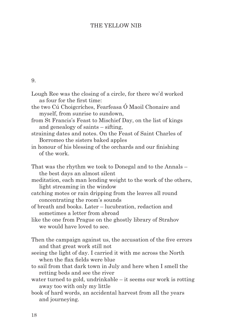| Lough Ree was the closing of a circle, for there we'd worked<br>as four for the first time:         |
|-----------------------------------------------------------------------------------------------------|
| the two Cú Choigcríches, Fearfeasa Ó Maoil Chonaire and<br>myself, from sunrise to sundown,         |
| from St Francis's Feast to Mischief Day, on the list of kings<br>and genealogy of saints – sifting, |
| straining dates and notes. On the Feast of Saint Charles of<br>Borromeo the sisters baked apples    |
| in honour of his blessing of the orchards and our finishing<br>of the work.                         |
| That was the rhythm we took to Donegal and to the Annals –<br>the best days an almost silent        |
| meditation, each man lending weight to the work of the others,<br>light streaming in the window     |
| catching motes or rain dripping from the leaves all round<br>concentrating the room's sounds        |
| of breath and books. Later – lucubration, redaction and<br>sometimes a letter from abroad           |
| like the one from Prague on the ghostly library of Strahov<br>we would have loved to see.           |
| Then the campaign against us, the accusation of the five errors<br>and that great work still not    |
| seeing the light of day. I carried it with me across the North<br>when the flax fields were blue    |
| to sail from that dark town in July and here when I smell the<br>retting beds and see the river     |
| water turned to gold, undrinkable – it seems our work is rotting<br>away too with only my little    |
| book of hard words, an accidental harvest from all the years<br>and journeying.                     |
|                                                                                                     |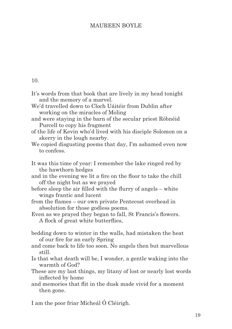## MAUREEN BOYLE

10.

It's words from that book that are lively in my head tonight and the memory of a marvel.

We'd travelled down to Cloch Uáitéir from Dublin after working on the miracles of Moling

- and were staying in the barn of the secular priest Róbnéid Purcell to copy his fragment
- of the life of Kevin who'd lived with his disciple Solomon on a skerry in the lough nearby.

We copied disgusting poems that day, I'm ashamed even now to confess.

It was this time of year: I remember the lake ringed red by the hawthorn hedges

and in the evening we lit a fire on the floor to take the chill off the night but as we prayed

before sleep the air filled with the flurry of angels – white wings frantic and lucent

- from the flames our own private Pentecost overhead in absolution for those godless poems.
- Even as we prayed they began to fall, St Francis's flowers. A flock of great white butterflies,
- bedding down to winter in the walls, had mistaken the heat of our fire for an early Spring
- and come back to life too soon. No angels then but marvellous still.
- Is that what death will be, I wonder, a gentle waking into the warmth of God?
- These are my last things, my litany of lost or nearly lost words inflected by home
- and memories that flit in the dusk made vivid for a moment then gone.

I am the poor friar Mícheál Ó Cléirigh.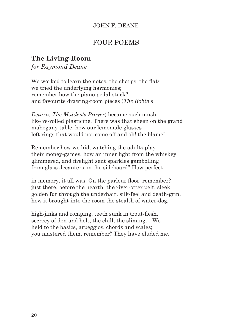## John F. Deane

## FOUR POEMS

# **The Living-Room**

*for Raymond Deane*

We worked to learn the notes, the sharps, the flats, we tried the underlying harmonies; remember how the piano pedal stuck? and favourite drawing-room pieces (*The Robin's* 

*Return, The Maiden's Prayer*) became such mush, like re-rolled plasticine. There was that sheen on the grand mahogany table, how our lemonade glasses left rings that would not come off and oh! the blame!

Remember how we hid, watching the adults play their money-games, how an inner light from the whiskey glimmered, and firelight sent sparkles gambolling from glass decanters on the sideboard? How perfect

in memory, it all was. On the parlour floor, remember? just there, before the hearth, the river-otter pelt, sleek golden fur through the underhair, silk-feel and death-grin, how it brought into the room the stealth of water-dog,

high-jinks and romping, teeth sunk in trout-flesh, secrecy of den and holt, the chill, the sliming… We held to the basics, arpeggios, chords and scales; you mastered them, remember? They have eluded me.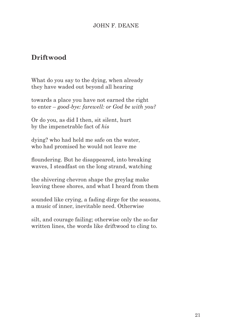## John F. Deane

# **Driftwood**

What do you say to the dying, when already they have waded out beyond all hearing

towards a place you have not earned the right to enter – *good-bye: farewell: or God be with you?*

Or do you, as did I then, sit silent, hurt by the impenetrable fact of *his*

dying? who had held me safe on the water, who had promised he would not leave me

floundering. But he disappeared, into breaking waves, I steadfast on the long strand, watching

the shivering chevron shape the greylag make leaving these shores, and what I heard from them

sounded like crying, a fading dirge for the seasons, a music of inner, inevitable need. Otherwise

silt, and courage failing; otherwise only the so-far written lines, the words like driftwood to cling to.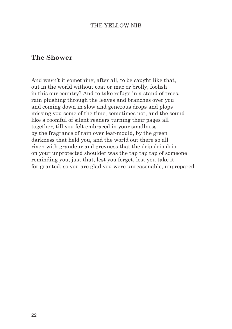#### THE YELLOW NIB

## **The Shower**

And wasn't it something, after all, to be caught like that, out in the world without coat or mac or brolly, foolish in this our country? And to take refuge in a stand of trees, rain plushing through the leaves and branches over you and coming down in slow and generous drops and plops missing you some of the time, sometimes not, and the sound like a roomful of silent readers turning their pages all together, till you felt embraced in your smallness by the fragrance of rain over leaf-mould, by the green darkness that held you, and the world out there so all riven with grandeur and greyness that the drip drip drip on your unprotected shoulder was the tap tap tap of someone reminding you, just that, lest you forget, lest you take it for granted: so you are glad you were unreasonable, unprepared.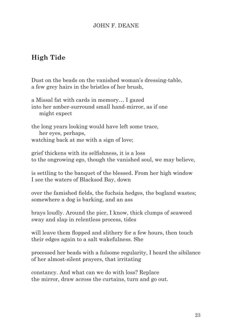## John F. Deane

# **High Tide**

Dust on the beads on the vanished woman's dressing-table, a few grey hairs in the bristles of her brush,

a Missal fat with cards in memory… I gazed into her amber-surround small hand-mirror, as if one might expect

the long years looking would have left some trace, her eyes, perhaps, watching back at me with a sign of love;

grief thickens with its selfishness, it is a loss to the ongrowing ego, though the vanished soul, we may believe,

is settling to the banquet of the blessed. From her high window I see the waters of Blacksod Bay, down

over the famished fields, the fuchsia hedges, the bogland wastes; somewhere a dog is barking, and an ass

brays loudly. Around the pier, I know, thick clumps of seaweed sway and slap in relentless process, tides

will leave them flopped and slithery for a few hours, then touch their edges again to a salt wakefulness. She

processed her beads with a fulsome regularity, I heard the sibilance of her almost-silent prayers, that irritating

constancy. And what can we do with loss? Replace the mirror, draw across the curtains, turn and go out.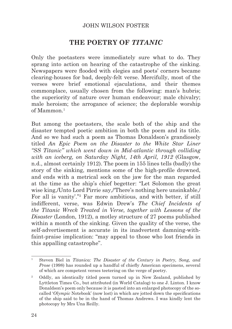#### John Wilson Foster

## **THE POETRY OF** *TITANIC*

Only the poetasters were immediately sure what to do. They sprang into action on hearing of the catastrophe of the sinking. Newspapers were flooded with elegies and poets' corners became clearing-houses for bad, deeply-felt verse. Mercifully, most of the verses were brief emotional ejaculations, and their themes commonplace, usually chosen from the following: man's hubris; the superiority of nature over human endeavour; male chivalry; male heroism; the arrogance of science; the deplorable worship of Mammon $<sup>1</sup>$ </sup>

But among the poetasters, the scale both of the ship and the disaster tempted poetic ambition in both the poem and its title. And so we had such a poem as Thomas Donaldson's grandiosely titled *An Epic Poem on the Disaster to the White Star Liner "SS Titanic" which went down in Mid-atlantic through colliding with an iceberg, on Saturday Night, 14th April, 1912* (Glasgow, n.d., almost certainly 1912). The poem in 155 lines tells (badly) the story of the sinking, mentions some of the high-profile drowned, and ends with a metrical sock on the jaw for the man regarded at the time as the ship's chief begetter: "Let Solomon the great wise king,/Unto Lord Pirrie say,/'There's nothing here unsinkable,/ For all is vanity'."2 Far more ambitious, and with better, if still indifferent, verse, was Edwin Drew's *The Chief Incidents of the Titanic Wreck Treated in Verse, together with Lessons of the Disaster* (London, 1912), a motley structure of 27 poems published within a month of the sinking. Given the quality of the verse, the self-advertisement is accurate in its inadvertent damning-withfaint-praise implication: "may appeal to those who lost friends in this appalling catastrophe".

<sup>1</sup> Steven Biel in *Titanica: The Disaster of the Century in Poetry, Song, and Prose* (1998) has rounded up a handful of chiefly American specimens, several of which are competent verses teetering on the verge of poetry.

<sup>&</sup>lt;sup>2</sup> Oddly, an identically titled poem turned up in New Zealand, published by Lyttleton Times Co., but attributed (in World Catalog) to one J. Linton. I know Donaldson's poem only because it is pasted into an enlarged photocopy of the socalled '*Olympic* Notebook' (now lost) in which are jotted down the specifications of the ship said to be in the hand of Thomas Andrews. I was kindly lent the photocopy by Mrs Una Reilly.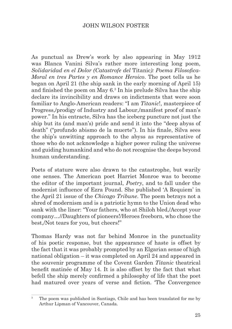#### John Wilson Foster

As punctual as Drew's work by also appearing in May 1912 was Blanca Vanini Silva's rather more interesting long poem, *Solidaridad en el Dolor (Catastrofe del* Titanic*): Poema Filosofica-Moral en tres Partes y en Romance Heroico*. The poet tells us he began on April 21 (the ship sank in the early morning of April 15) and finished the poem on May 6.3 In his prelude Silva has the ship declare its invincibility and draws on indictments that were soon familiar to Anglo-American readers: "I am *Titanic*!, masterpiece of Progress,/prodigy of Industry and Labour,/manifest proof of man's power." In his entracte, Silva has the iceberg puncture not just the ship but its (and man's) pride and send it into the "deep abyss of death" ("profundo abismo de la muerte"). In his finale, Silva sees the ship's unwitting approach to the abyss as representative of those who do not acknowledge a higher power ruling the universe and guiding humankind and who do not recognise the deeps beyond human understanding.

Poets of stature were also drawn to the catastrophe, but warily one senses. The American poet Harriet Monroe was to become the editor of the important journal, *Poetry*, and to fall under the modernist influence of Ezra Pound. She published 'A Requiem' in the April 21 issue of the *Chicago Tribune*. The poem betrays not a shred of modernism and is a patriotic hymn to the Union dead who sank with the liner: "Your fathers, who at Shiloh bled,/Accept your company…//Daughters of pioneers!/Heroes freeborn, who chose the best,/Not tears for you, but cheers!"

Thomas Hardy was not far behind Monroe in the punctuality of his poetic response, but the appearance of haste is offset by the fact that it was probably prompted by an Elgarian sense of high national obligation – it was completed on April 24 and appeared in the souvenir programme of the Covent Garden *Titanic* theatrical benefit matinée of May 14. It is also offset by the fact that what befell the ship merely confirmed a philosophy of life that the poet had matured over years of verse and fiction. 'The Convergence

<sup>&</sup>lt;sup>3</sup> The poem was published in Santiago, Chile and has been translated for me by Arthur Lipman of Vancouver, Canada.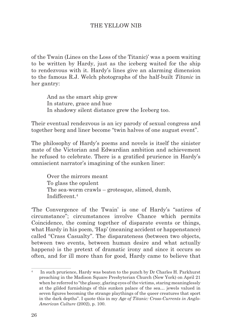of the Twain (Lines on the Loss of the Titanic)' was a poem waiting to be written by Hardy, just as the iceberg waited for the ship to rendezvous with it. Hardy's lines give an alarming dimension to the famous R.J. Welch photographs of the half-built *Titanic* in her gantry:

And as the smart ship grew In stature, grace and hue In shadowy silent distance grew the Iceberg too.

Their eventual rendezvous is an icy parody of sexual congress and together berg and liner become "twin halves of one august event".

The philosophy of Hardy's poems and novels is itself the sinister mate of the Victorian and Edwardian ambition and achievement he refused to celebrate. There is a gratified prurience in Hardy's omniscient narrator's imagining of the sunken liner:

Over the mirrors meant To glass the opulent The sea-worm crawls – grotesque, slimed, dumb, Indifferent.<sup>4</sup>

'The Convergence of the Twain' is one of Hardy's "satires of circumstance"; circumstances involve Chance which permits Coincidence, the coming together of disparate events or things, what Hardy in his poem, 'Hap' (meaning accident or happenstance) called "Crass Casualty". The disparateness (between two objects, between two events, between human desire and what actually happens) is the pretext of dramatic irony and since it occurs so often, and for ill more than for good, Hardy came to believe that

<sup>4</sup> In such prurience, Hardy was beaten to the punch by Dr Charles H. Parkhurst preaching in the Madison Square Presbyterian Church (New York) on April 21 when he referred to "the glassy, glaring eyes of the victims, staring meaninglessly at the gilded furnishings of this sunken palace of the sea… jewels valued in seven figures becoming the strange playthings of the queer creatures that sport in the dark depths". I quote this in my *Age of Titanic: Cross-Currents in Anglo-American Culture* (2002), p. 100.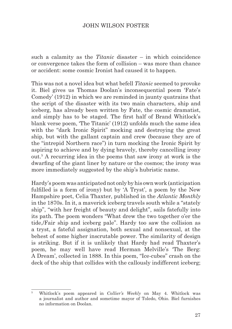#### John Wilson Foster

such a calamity as the *Titanic* disaster – in which coincidence or convergence takes the form of collision – was more than chance or accident: some cosmic Ironist had caused it to happen.

This was not a novel idea but what befell *Titanic* seemed to provoke it. Biel gives us Thomas Doolan's inconsequential poem 'Fate's Comedy' (1912) in which we are reminded in jaunty quatrains that the script of the disaster with its two main characters, ship and iceberg, has already been written by Fate, the cosmic dramatist, and simply has to be staged. The first half of Brand Whitlock's blank verse poem, 'The Titanic' (1912) unfolds much the same idea with the "dark Ironic Spirit" mocking and destroying the great ship, but with the gallant captain and crew (because they are of the "intrepid Northern race") in turn mocking the Ironic Spirit by aspiring to achieve and by dying bravely, thereby cancelling irony out.5 A recurring idea in the poems that saw irony at work is the dwarfing of the giant liner by nature or the cosmos; the irony was more immediately suggested by the ship's hubristic name.

Hardy's poemwas anticipatednot only byhis ownwork(anticipation fulfilled is a form of irony) but by 'A Tryst', a poem by the New Hampshire poet, Celia Thaxter, published in the *Atlantic Monthly*  in the 1870s. In it, a maverick iceberg travels south while a "stately ship", "with her freight of beauty and delight", sails fatefully into its path. The poem wonders "What drew the two together o'er the tide,/Fair ship and iceberg pale". Hardy too saw the collision as a tryst, a fateful assignation, both sexual and nonsexual, at the behest of some higher inscrutable power. The similarity of design is striking. But if it is unlikely that Hardy had read Thaxter's poem, he may well have read Herman Melville's 'The Berg: A Dream', collected in 1888. In this poem, "Ice-cubes" crash on the deck of the ship that collides with the callously indifferent iceberg;

<sup>5</sup> Whitlock's poem appeared in *Collier's Weekly* on May 4. Whitlock was a journalist and author and sometime mayor of Toledo, Ohio. Biel furnishes no information on Doolan.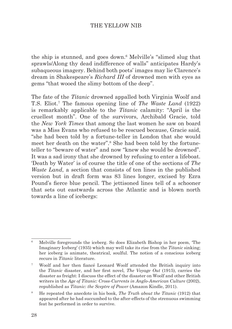the ship is stunned, and goes down.<sup>6</sup> Melville's "slimed slug that sprawls/Along thy dead indifference of walls" anticipates Hardy's subaqueous imagery. Behind both poets' images may lie Clarence's dream in Shakespeare's *Richard III* of drowned men with eyes as gems "that wooed the slimy bottom of the deep".

The fate of the *Titanic* drowned appalled both Virginia Woolf and T.S. Eliot.7 The famous opening line of *The Waste Land* (1922) is remarkably applicable to the *Titanic* calamity: "April is the cruellest month". One of the survivors, Archibald Gracie, told the *New York Times* that among the last women he saw on board was a Miss Evans who refused to be rescued because, Gracie said, "she had been told by a fortune-teller in London that she would meet her death on the water".8 She had been told by the fortuneteller to "beware of water" and now "knew she would be drowned". It was a sad irony that she drowned by refusing to enter a lifeboat. 'Death by Water' is of course the title of one of the sections of *The Waste Land*, a section that consists of ten lines in the published version but in draft form was 83 lines longer, excised by Ezra Pound's fierce blue pencil. The jettisoned lines tell of a schooner that sets out eastwards across the Atlantic and is blown north towards a line of icebergs:

<sup>6</sup> Melville foregrounds the iceberg. So does Elizabeth Bishop in her poem, 'The Imaginary Iceberg' (1935) which may well take its rise from the *Titanic* sinking; her iceberg is animate, theatrical, soulful. The notion of a conscious iceberg recurs in *Titanic* literature.

<sup>7</sup> Woolf and her then fiancé Leonard Woolf attended the British inquiry into the *Titanic* disaster, and her first novel, *The Voyage Out* (1915), carries the disaster as freight: I discuss the effect of the disaster on Woolf and other British writers in the *Age of Titanic: Cross-Currents in Anglo-American Culture* (2002), republished as *Titanic: the Sceptre of Power* (Amazon Kindle, 2011).

<sup>8</sup> He repeated the anecdote in his book, *The Truth about the Titanic* (1912) that appeared after he had succumbed to the after-effects of the strenuous swimming feat he performed in order to survive.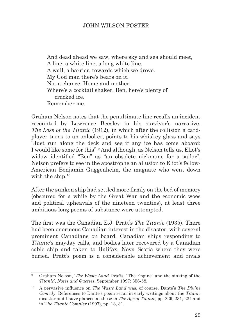#### John Wilson Foster

And dead ahead we saw, where sky and sea should meet, A line, a white line, a long white line, A wall, a barrier, towards which we drove. My God man there's bears on it. Not a chance. Home and mother. Where's a cocktail shaker, Ben, here's plenty of cracked ice. Remember me.

Graham Nelson notes that the penultimate line recalls an incident recounted by Lawrence Beesley in his survivor's narrative, *The Loss of the Titanic* (1912), in which after the collision a cardplayer turns to an onlooker, points to his whiskey glass and says "Just run along the deck and see if any ice has come aboard: I would like some for this".9 And although, as Nelson tells us, Eliot's widow identified "Ben" as "an obsolete nickname for a sailor". Nelson prefers to see in the apostrophe an allusion to Eliot's fellow-American Benjamin Guggenheim, the magnate who went down with the ship.<sup>10</sup>

After the sunken ship had settled more firmly on the bed of memory (obscured for a while by the Great War and the economic woes and political upheavals of the nineteen twenties), at least three ambitious long poems of substance were attempted.

The first was the Canadian E.J. Pratt's *The Titanic* (1935). There had been enormous Canadian interest in the disaster, with several prominent Canadians on board, Canadian ships responding to *Titanic*'s mayday calls, and bodies later recovered by a Canadian cable ship and taken to Halifax, Nova Scotia where they were buried. Pratt's poem is a considerable achievement and rivals

<sup>9</sup> Graham Nelson, '*The Waste Land* Drafts, "The Engine" and the sinking of the *Titanic*', *Notes and Queries*, September 1997: 356-58.

<sup>10</sup> A pervasive influence on *The Waste Land* was, of course, Dante's *The Divine Comedy*. References to Dante's poem recur in early writings about the *Titanic* disaster and I have glanced at these in *The Age of Titanic*, pp. 229, 231, 234 and in T*he Titanic Complex* (1997), pp. 13, 31.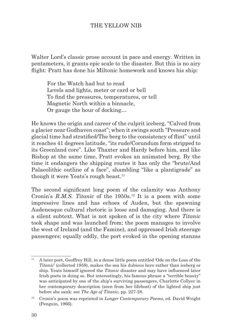Walter Lord's classic prose account in pace and energy. Written in pentameters, it grants epic scale to the disaster. But this is no airy flight: Pratt has done his Miltonic homework and knows his ship:

For the Watch had but to read Levels and lights, meter or card or bell To find the pressures, temperatures, or tell Magnetic North within a binnacle, Or gauge the hour of docking…

He knows the origin and career of the culprit iceberg, "Calved from a glacier near Godhaven coast"; when it swings south "Pressure and glacial time had stratified/The berg to the consistency of flint" until it reaches 41 degrees latitude, "its rude/Corundum form stripped to its Greenland core". Like Thaxter and Hardy before him, and like Bishop at the same time, Pratt evokes an animated berg. By the time it endangers the shipping routes it has only the "brute/And" Palaeolithic outline of a face", shambling "like a plantigrade" as though it were Yeats's rough beast.<sup>11</sup>

The second significant long poem of the calamity was Anthony Cronin's *R.M.S. Titanic* of the 1950s.<sup>12</sup> It is a poem with some impressive lines and has echoes of Auden, but the spawning Audenesque cultural rhetoric is loose and damaging. And there is a silent subtext. What is not spoken of is the city where *Titanic* took shape and was launched from; the poem manages to involve the west of Ireland (and the Famine), and oppressed Irish steerage passengers; equally oddly, the port evoked in the opening stanzas

<sup>11</sup> A later poet, Geoffrey Hill, in a dense little poem entitled 'Ode on the Loss of the *Titanic*' (collected 1959), makes the sea his dubious hero rather than iceberg or ship. Yeats himself ignored the *Titanic* disaster and may have influenced later Irish poets in doing so. But interestingly, his famous phrase a "terrible beauty" was anticipated by one of the ship's surviving passengers, Charlotte Collyer in her contemporary description (seen from her lifeboat) of the lighted ship just before she sank: see *The Age of Titanic*, pp. 227-28.

<sup>12</sup> Cronin's poem was reprinted in *Longer Contemporary Poems*, ed. David Wright (Penguin, 1966).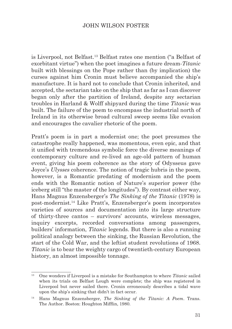#### John Wilson Foster

is Liverpool, not Belfast.13 Belfast rates one mention ("a Belfast of exorbitant virtue") when the poet imagines a future dream-*Titanic* built with blessings on the Pope rather than (by implication) the curses against him Cronin must believe accompanied the ship's manufacture. It is hard not to conclude that Cronin inherited, and accepted, the sectarian take on the ship that as far as I can discover began only after the partition of Ireland, despite any sectarian troubles in Harland & Wolff shipyard during the time *Titanic* was built. The failure of the poem to encompass the industrial north of Ireland in its otherwise broad cultural sweep seems like evasion and encourages the cavalier rhetoric of the poem.

Pratt's poem is in part a modernist one; the poet presumes the catastrophe really happened, was momentous, even epic, and that it unified with tremendous symbolic force the diverse meanings of contemporary culture and re-lived an age-old pattern of human event, giving his poem coherence as the story of Odysseus gave Joyce's *Ulysses* coherence. The notion of tragic hubris in the poem, however, is a Romantic predating of modernism and the poem ends with the Romantic notion of Nature's superior power (the iceberg still "the master of the longitudes"). By contrast either way, Hans Magnus Enzensberger's *The Sinking of the Titanic* (1978) is post-modernist.14 Like Pratt's, Enzensberger's poem incorporates varieties of sources and documentation into its large structure of thirty-three cantos – survivors' accounts, wireless messages, inquiry excerpts, recorded conversations among passengers, builders' information, *Titanic* legends. But there is also a running political analogy between the sinking, the Russian Revolution, the start of the Cold War, and the leftist student revolutions of 1968. *Titanic* is to bear the weighty cargo of twentieth-century European history, an almost impossible tonnage.

<sup>13</sup> One wonders if Liverpool is a mistake for Southampton to where *Titanic* sailed when its trials on Belfast Lough were complete; the ship was registered in Liverpool but never sailed there. Cronin erroneously describes a tidal wave upon the ship's sinking that didn't in fact occur.

<sup>14</sup> Hans Magnus Enzensberger, *The Sinking of the Titanic: A Poem*. Trans. The Author. Boston: Houghton Mifflin, 1980.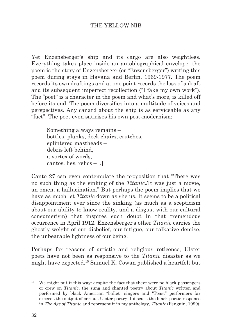Yet Enzensberger's ship and its cargo are also weightless. Everything takes place inside an autobiographical envelope: the poem is the story of Enzensberger (or "Enzensberger") writing this poem during stays in Havana and Berlin, 1969-1977. The poem records its own draftings and at one point records the loss of a draft and its subsequent imperfect recollection ("I fake my own work"). The "poet" is a character in the poem and what's more, is killed off before its end. The poem diversifies into a multitude of voices and perspectives. Any canard about the ship is as serviceable as any "fact". The poet even satirises his own post-modernism:

Something always remains – bottles, planks, deck chairs, crutches, splintered mastheads – debris left behind, a vortex of words, cantos, lies, relics – [.]

Canto 27 can even contemplate the proposition that "There was no such thing as the sinking of the *Titanic*./It was just a movie, an omen, a hallucination." But perhaps the poem implies that we have as much let *Titanic* down as she us. It seems to be a political disappointment ever since the sinking (as much as a scepticism about our ability to know reality, and a disgust with our cultural consumerism) that inspires such doubt in that tremendous occurrence in April 1912. Enzensberger's other *Titanic* carries the ghostly weight of our disbelief, our fatigue, our talkative demise, the unbearable lightness of our being.

Perhaps for reasons of artistic and religious reticence, Ulster poets have not been as responsive to the *Titanic* disaster as we might have expected.15 Samuel K. Cowan published a heartfelt but

<sup>&</sup>lt;sup>15</sup> We might put it this way: despite the fact that there were no black passengers or crew on *Titanic*, the sung and chanted poetry about *Titanic* written and performed by black American "ballet" singers and "Toast" performers far exceeds the output of serious Ulster poetry. I discuss the black poetic response in *The Age of Titanic* and represent it in my anthology, *Titanic* (Penguin, 1999).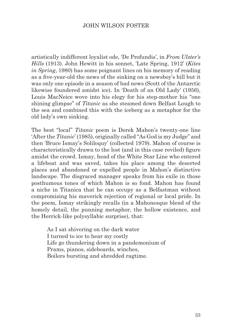#### John Wilson Foster

artistically indifferent loyalist ode, 'De Profundis', in *From Ulster's Hills* (1913). John Hewitt in his sonnet, 'Late Spring, 1912' (*Kites in Spring*, 1980) has some poignant lines on his memory of reading as a five-year-old the news of the sinking on a newsboy's bill but it was only one episode in a season of bad news (Scott of the Antarctic likewise foundered amidst ice). In 'Death of an Old Lady' (1956), Louis MacNeice wove into his elegy for his step-mother his "one shining glimpse" of *Titanic* as she steamed down Belfast Lough to the sea and combined this with the iceberg as a metaphor for the old lady's own sinking.

The best "local" *Titanic* poem is Derek Mahon's twenty-one line 'After the *Titanic*' (1985), originally called "As God is my Judge" and then 'Bruce Ismay's Soliloquy' (collected 1979). Mahon of course is characteristically drawn to the lost (and in this case reviled) figure amidst the crowd. Ismay, head of the White Star Line who entered a lifeboat and was saved, takes his place among the deserted places and abandoned or expelled people in Mahon's distinctive landscape. The disgraced manager speaks from his exile in those posthumous tones of which Mahon is so fond. Mahon has found a niche in Titanica that he can occupy as a Belfastman without compromising his maverick rejection of regional or local pride. In the poem, Ismay strikingly recalls (in a Mahonesque blend of the homely detail, the punning metaphor, the hollow existence, and the Herrick-like polysyllabic surprise), that:

As I sat shivering on the dark water I turned to ice to hear my costly Life go thundering down in a pandemonium of Prams, pianos, sideboards, winches, Boilers bursting and shredded ragtime.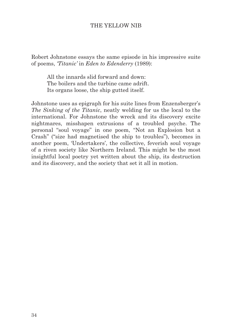Robert Johnstone essays the same episode in his impressive suite of poems, *'Titanic'* in *Eden to Edenderry* (1989):

All the innards slid forward and down: The boilers and the turbine came adrift. Its organs loose, the ship gutted itself.

Johnstone uses as epigraph for his suite lines from Enzensberger's *The Sinking of the Titanic*, neatly welding for us the local to the international. For Johnstone the wreck and its discovery excite nightmares, misshapen extrusions of a troubled psyche. The personal "soul voyage" in one poem, "Not an Explosion but a Crash" ("size had magnetised the ship to troubles"), becomes in another poem, 'Undertakers', the collective, feverish soul voyage of a riven society like Northern Ireland. This might be the most insightful local poetry yet written about the ship, its destruction and its discovery, and the society that set it all in motion.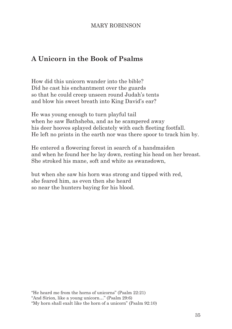#### Mary Robinson

# **A Unicorn in the Book of Psalms**

How did this unicorn wander into the bible? Did he cast his enchantment over the guards so that he could creep unseen round Judah's tents and blow his sweet breath into King David's ear?

He was young enough to turn playful tail when he saw Bathsheba, and as he scampered away his deer hooves splayed delicately with each fleeting footfall. He left no prints in the earth nor was there spoor to track him by.

He entered a flowering forest in search of a handmaiden and when he found her he lay down, resting his head on her breast. She stroked his mane, soft and white as swansdown,

but when she saw his horn was strong and tipped with red, she feared him, as even then she heard so near the hunters baying for his blood.

"He heard me from the horns of unicorns" (Psalm 22:21)

<sup>&</sup>quot;And Sirion, like a young unicorn…" (Psalm 29:6)

<sup>&</sup>quot;My horn shall exalt like the horn of a unicorn" (Psalm 92:10)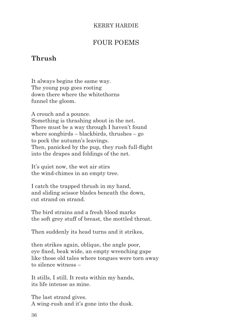## Kerry Hardie

# FOUR POEMS

## **Thrush**

It always begins the same way. The young pup goes rooting down there where the whitethorns funnel the gloom.

A crouch and a pounce. Something is thrashing about in the net. There must be a way through I haven't found where songbirds – blackbirds, thrushes – go to pock the autumn's leavings. Then, panicked by the pup, they rush full-flight into the drapes and foldings of the net.

It's quiet now, the wet air stirs the wind-chimes in an empty tree.

I catch the trapped thrush in my hand, and sliding scissor blades beneath the down, cut strand on strand.

The bird strains and a fresh blood marks the soft grey stuff of breast, the mottled throat.

Then suddenly its head turns and it strikes,

then strikes again, oblique, the angle poor, eye fixed, beak wide, an empty wrenching gape like those old tales where tongues were torn away to silence witness –

It stills, I still. It rests within my hands, its life intense as mine.

The last strand gives. A wing-rush and it's gone into the dusk.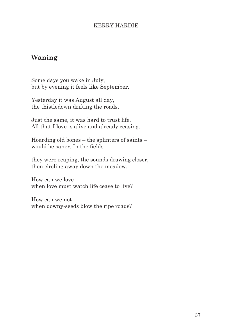### Kerry Hardie

# **Waning**

Some days you wake in July, but by evening it feels like September.

Yesterday it was August all day, the thistledown drifting the roads.

Just the same, it was hard to trust life. All that I love is alive and already ceasing.

Hoarding old bones – the splinters of saints – would be saner. In the fields

they were reaping, the sounds drawing closer, then circling away down the meadow.

How can we love when love must watch life cease to live?

How can we not when downy-seeds blow the ripe roads?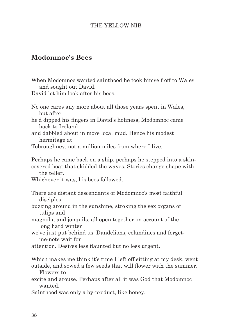# **Modomnoc's Bees**

When Modomnoc wanted sainthood he took himself off to Wales and sought out David.

David let him look after his bees.

No one cares any more about all those years spent in Wales, but after he'd dipped his fingers in David's holiness, Modomnoc came back to Ireland and dabbled about in more local mud. Hence his modest hermitage at Tobroughney, not a million miles from where I live. Perhaps he came back on a ship, perhaps he stepped into a skincovered boat that skidded the waves. Stories change shape with the teller. Whichever it was, his bees followed. There are distant descendants of Modomnoc's most faithful disciples buzzing around in the sunshine, stroking the sex organs of tulips and magnolia and jonquils, all open together on account of the long hard winter we've just put behind us. Dandelions, celandines and forgetme-nots wait for attention. Desires less flaunted but no less urgent. Which makes me think it's time I left off sitting at my desk, went outside, and sowed a few seeds that will flower with the summer. Flowers to excite and arouse. Perhaps after all it was God that Modomnoc wanted. Sainthood was only a by-product, like honey.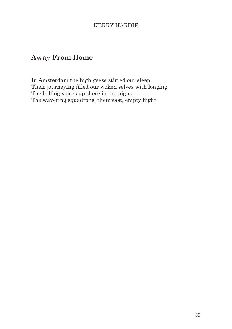### Kerry Hardie

# **Away From Home**

In Amsterdam the high geese stirred our sleep. Their journeying filled our woken selves with longing. The belling voices up there in the night. The wavering squadrons, their vast, empty flight.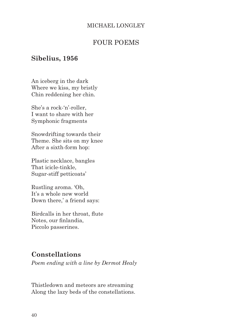#### Michael Longley

# FOUR POEMS

# **Sibelius, 1956**

An iceberg in the dark Where we kiss, my bristly Chin reddening her chin.

She's a rock-'n'-roller, I want to share with her Symphonic fragments

Snowdrifting towards their Theme. She sits on my knee After a sixth-form hop:

Plastic necklace, bangles That icicle-tinkle, Sugar-stiff petticoats'

Rustling aroma. 'Oh, It's a whole new world Down there,' a friend says:

Birdcalls in her throat, flute Notes, our finlandia, Piccolo passerines.

# **Constellations**

*Poem ending with a line by Dermot Healy*

Thistledown and meteors are streaming Along the lazy beds of the constellations.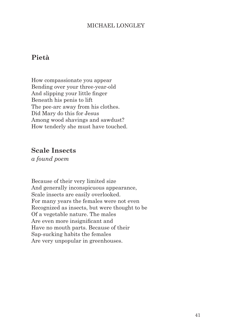### Michael Longley

# **Pietà**

How compassionate you appear Bending over your three-year-old And slipping your little finger Beneath his penis to lift The pee-arc away from his clothes. Did Mary do this for Jesus Among wood shavings and sawdust? How tenderly she must have touched.

# **Scale Insects**

*a found poem*

Because of their very limited size And generally inconspicuous appearance, Scale insects are easily overlooked. For many years the females were not even Recognized as insects, but were thought to be Of a vegetable nature. The males Are even more insignificant and Have no mouth parts. Because of their Sap-sucking habits the females Are very unpopular in greenhouses.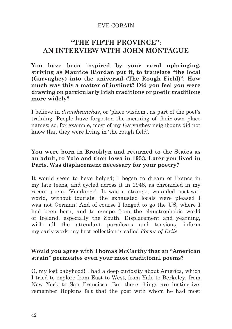## EVE COBAIN

# **"The Fifth Province": An Interview with John Montague**

**You have been inspired by your rural upbringing, striving as Maurice Riordan put it, to translate "the local (Garvaghey) into the universal (The Rough Field)". How much was this a matter of instinct? Did you feel you were drawing on particularly Irish traditions or poetic traditions more widely?**

I believe in *dinnsheanchas*, or 'place wisdom', as part of the poet's training. People have forgotten the meaning of their own place names; so, for example, most of my Garvaghey neighbours did not know that they were living in 'the rough field'.

### **You were born in Brooklyn and returned to the States as an adult, to Yale and then Iowa in 1953. Later you lived in Paris. Was displacement necessary for your poetry?**

It would seem to have helped; I began to dream of France in my late teens, and cycled across it in 1948, as chronicled in my recent poem, 'Vendange'. It was a strange, wounded post-war world, without tourists: the exhausted locals were pleased I was not German! And of course I longed to go the US, where I had been born, and to escape from the claustrophobic world of Ireland, especially the South. Displacement and yearning, with all the attendant paradoxes and tensions, inform my early work: my first collection is called *Forms of Exile*.

#### **Would you agree with Thomas McCarthy that an "American strain" permeates even your most traditional poems?**

O, my lost babyhood! I had a deep curiosity about America, which I tried to explore from East to West, from Yale to Berkeley, from New York to San Francisco. But these things are instinctive; remember Hopkins felt that the poet with whom he had most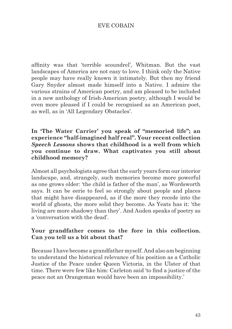## EVE COBAIN

affinity was that 'terrible scoundrel', Whitman. But the vast landscapes of America are not easy to love. I think only the Native people may have really known it intimately. But then my friend Gary Snyder almost made himself into a Native. I admire the various strains of American poetry, and am pleased to be included in a new anthology of Irish-American poetry, although I would be even more pleased if I could be recognised as an American poet, as well, as in 'All Legendary Obstacles'.

**In 'The Water Carrier' you speak of "memoried life"; an experience "half-imagined half real". Your recent collection**  *Speech Lessons* **shows that childhood is a well from which you continue to draw. What captivates you still about childhood memory?**

Almost all psychologists agree that the early years form our interior landscape, and, strangely, such memories become more powerful as one grows older: 'the child is father of the man', as Wordsworth says. It can be eerie to feel so strongly about people and places that might have disappeared, as if the more they recede into the world of ghosts, the more solid they become. As Yeats has it: 'the living are more shadowy than they'. And Auden speaks of poetry as a 'conversation with the dead'.

#### **Your grandfather comes to the fore in this collection. Can you tell us a bit about that?**

Because I have become a grandfather myself. And also am beginning to understand the historical relevance of his position as a Catholic Justice of the Peace under Queen Victoria, in the Ulster of that time. There were few like him: Carleton said 'to find a justice of the peace not an Orangeman would have been an impossibility.'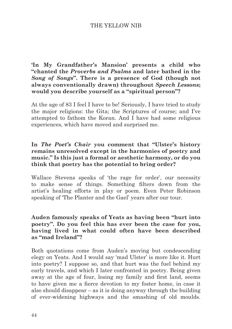**'In My Grandfather's Mansion' presents a child who "chanted the** *Proverbs and Psalms* **and later bathed in the**  *Song of Songs***". There is a presence of God (though not always conventionally drawn) throughout** *Speech Lessons***; would you describe yourself as a "spiritual person"?**

At the age of 83 I feel I have to be! Seriously, I have tried to study the major religions: the Gita; the Scriptures of course; and I've attempted to fathom the Koran. And I have had some religious experiences, which have moved and surprised me.

### **In** *The Poet's Chair* **you comment that "Ulster's history remains unresolved except in the harmonies of poetry and music." Is this just a formal or aesthetic harmony, or do you think that poetry has the potential to bring order?**

Wallace Stevens speaks of 'the rage for order', our necessity to make sense of things. Something filters down from the artist's healing efforts in play or poem. Even Peter Robinson speaking of 'The Planter and the Gael' years after our tour.

### **Auden famously speaks of Yeats as having been "hurt into poetry". Do you feel this has ever been the case for you, having lived in what could often have been described as "mad Ireland"?**

Both quotations come from Auden's moving but condescending elegy on Yeats. And I would say 'mad Ulster' is more like it. Hurt into poetry? I suppose so, and that hurt was the fuel behind my early travels, and which I later confronted in poetry. Being given away at the age of four, losing my family and first land, seems to have given me a fierce devotion to my foster home, in case it also should disappear – as it is doing anyway through the building of ever-widening highways and the smashing of old moulds.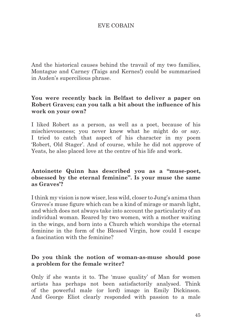## EVE COBAIN

And the historical causes behind the travail of my two families, Montague and Carney (Taigs and Kernes!) could be summarised in Auden's supercilious phrase.

#### **You were recently back in Belfast to deliver a paper on Robert Graves; can you talk a bit about the influence of his work on your own?**

I liked Robert as a person, as well as a poet, because of his mischievousness; you never knew what he might do or say. I tried to catch that aspect of his character in my poem 'Robert, Old Stager'. And of course, while he did not approve of Yeats, he also placed love at the centre of his life and work.

#### **Antoinette Quinn has described you as a "muse-poet, obsessed by the eternal feminine". Is your muse the same as Graves'?**

I think my vision is now wiser, less wild, closer to Jung's anima than Graves's muse figure which can be a kind of mirage or marsh light, and which does not always take into account the particularity of an individual woman. Reared by two women, with a mother waiting in the wings, and born into a Church which worships the eternal feminine in the form of the Blessed Virgin, how could I escape a fascination with the feminine?

#### **Do you think the notion of woman-as-muse should pose a problem for the female writer?**

Only if she wants it to. The 'muse quality' of Man for women artists has perhaps not been satisfactorily analysed. Think of the powerful male (or lord) image in Emily Dickinson. And George Eliot clearly responded with passion to a male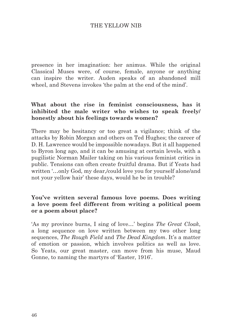presence in her imagination: her animus. While the original Classical Muses were, of course, female, anyone or anything can inspire the writer. Auden speaks of an abandoned mill wheel, and Stevens invokes 'the palm at the end of the mind'.

#### **What about the rise in feminist consciousness, has it inhibited the male writer who wishes to speak freely/ honestly about his feelings towards women?**

There may be hesitancy or too great a vigilance; think of the attacks by Robin Morgan and others on Ted Hughes; the career of D. H. Lawrence would be impossible nowadays. But it all happened to Byron long ago, and it can be amusing at certain levels, with a pugilistic Norman Mailer taking on his various feminist critics in public. Tensions can often create fruitful drama. But if Yeats had written '…only God, my dear,/could love you for yourself alone/and not your yellow hair' these days, would he be in trouble?

#### **You've written several famous love poems. Does writing a love poem feel different from writing a political poem or a poem about place?**

'As my province burns, I sing of love…' begins *The Great Cloak*, a long sequence on love written between my two other long sequences, *The Rough Field* and *The Dead Kingdom*. It's a matter of emotion or passion, which involves politics as well as love. So Yeats, our great master, can move from his muse, Maud Gonne, to naming the martyrs of 'Easter, 1916'.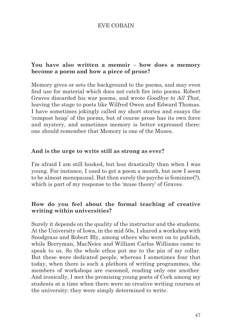### **You have also written a memoir – how does a memory become a poem and how a piece of prose?**

Memory gives or sets the background to the poems, and may even find use for material which does not catch fire into poems. Robert Graves discarded his war poems, and wrote *Goodbye to All That*, leaving the stage to poets like Wilfred Owen and Edward Thomas. I have sometimes jokingly called my short stories and essays the 'compost heap' of the poems, but of course prose has its own force and mystery, and sometimes memory is better expressed there: one should remember that Memory is one of the Muses.

#### **And is the urge to write still as strong as ever?**

I'm afraid I am still hooked, but less drastically than when I was young. For instance, I used to get a poem a month, but now I seem to be almost menopausal. But then surely the psyche is feminine(?), which is part of my response to the 'muse theory' of Graves.

#### **How do you feel about the formal teaching of creative writing within universities?**

Surely it depends on the quality of the instructor and the students. At the University of Iowa, in the mid 50s, I shared a workshop with Snodgrass and Robert Bly, among others who went on to publish, while Berryman, MacNeice and William Carlos Williams came to speak to us. So the whole ethos put me to the pin of my collar. But these were dedicated people, whereas I sometimes fear that today, when there is such a plethora of writing programmes, the members of workshops are cocooned, reading only one another. And ironically, I met the promising young poets of Cork among my students at a time when there were no creative writing courses at the university: they were simply determined to write.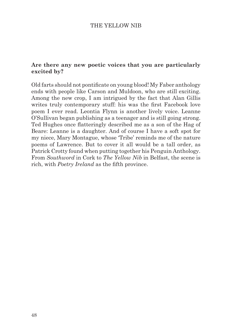### **Are there any new poetic voices that you are particularly excited by?**

Old farts should not pontificate on young blood! My Faber anthology ends with people like Carson and Muldoon, who are still exciting. Among the new crop, I am intrigued by the fact that Alan Gillis writes truly contemporary stuff: his was the first Facebook love poem I ever read. Leontia Flynn is another lively voice. Leanne O'Sullivan began publishing as a teenager and is still going strong. Ted Hughes once flatteringly described me as a son of the Hag of Beare: Leanne is a daughter. And of course I have a soft spot for my niece, Mary Montague, whose 'Tribe' reminds me of the nature poems of Lawrence. But to cover it all would be a tall order, as Patrick Crotty found when putting together his Penguin Anthology. From *Southword* in Cork to *The Yellow Nib* in Belfast, the scene is rich, with *Poetry Ireland* as the fifth province.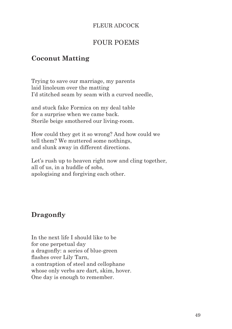## Fleur Adcock

# FOUR POEMS

# **Coconut Matting**

Trying to save our marriage, my parents laid linoleum over the matting I'd stitched seam by seam with a curved needle,

and stuck fake Formica on my deal table for a surprise when we came back. Sterile beige smothered our living-room.

How could they get it so wrong? And how could we tell them? We muttered some nothings, and slunk away in different directions.

Let's rush up to heaven right now and cling together, all of us, in a huddle of sobs, apologising and forgiving each other.

# **Dragonfly**

In the next life I should like to be for one perpetual day a dragonfly: a series of blue-green flashes over Lily Tarn, a contraption of steel and cellophane whose only verbs are dart, skim, hover. One day is enough to remember.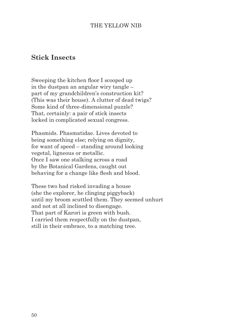# **Stick Insects**

Sweeping the kitchen floor I scooped up in the dustpan an angular wiry tangle – part of my grandchildren's construction kit? (This was their house). A clutter of dead twigs? Some kind of three-dimensional puzzle? That, certainly: a pair of stick insects locked in complicated sexual congress.

Phasmids. Phasmatidae. Lives devoted to being something else; relying on dignity, for want of speed – standing around looking vegetal, ligneous or metallic. Once I saw one stalking across a road by the Botanical Gardens, caught out behaving for a change like flesh and blood.

These two had risked invading a house (she the explorer, he clinging piggyback) until my broom scuttled them. They seemed unhurt and not at all inclined to disengage. That part of Karori is green with bush. I carried them respectfully on the dustpan, still in their embrace, to a matching tree.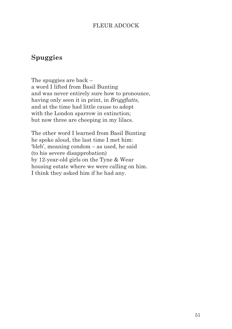### Fleur Adcock

# **Spuggies**

The spuggies are back – a word I lifted from Basil Bunting and was never entirely sure how to pronounce, having only seen it in print, in *Briggflatts*, and at the time had little cause to adopt with the London sparrow in extinction; but now three are cheeping in my lilacs.

The other word I learned from Basil Bunting he spoke aloud, the last time I met him: 'bleb', meaning condom – as used, he said (to his severe disapprobation) by 12-year-old girls on the Tyne & Wear housing estate where we were calling on him. I think they asked him if he had any.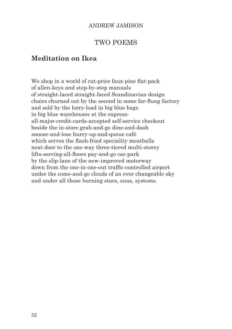#### Andrew Jamison

# TWO POEMS

# **Meditation on Ikea**

We shop in a world of cut-price faux-pine flat-pack of allen-keys and step-by-step manuals of straight-laced straight-faced Scandinavian design chairs churned out by the second in some far-flung factory and sold by the lorry-load in big blue bags in big blue warehouses at the expressall-major-credit-cards-accepted self-service checkout beside the in-store grab-and-go dine-and-dash snooze-and-lose hurry-up-and-queue café which serves the flash-fried speciality meatballs next-door to the one-way three-tiered multi-storey lifts-serving-all-floors pay-and-go car-park by the slip-lane of the new-improved motorway down from the one-in-one-out traffic-controlled airport under the come-and-go clouds of an ever changeable sky and under all those burning stars, suns, systems.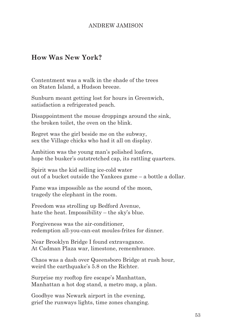#### Andrew Jamison

# **How Was New York?**

Contentment was a walk in the shade of the trees on Staten Island, a Hudson breeze.

Sunburn meant getting lost for hours in Greenwich, satisfaction a refrigerated peach.

Disappointment the mouse droppings around the sink, the broken toilet, the oven on the blink.

Regret was the girl beside me on the subway, sex the Village chicks who had it all on display.

Ambition was the young man's polished loafers, hope the busker's outstretched cap, its rattling quarters.

Spirit was the kid selling ice-cold water out of a bucket outside the Yankees game – a bottle a dollar.

Fame was impossible as the sound of the moon, tragedy the elephant in the room.

Freedom was strolling up Bedford Avenue, hate the heat. Impossibility – the sky's blue.

Forgiveness was the air-conditioner, redemption all-you-can-eat moules-frites for dinner.

Near Brooklyn Bridge I found extravagance. At Cadman Plaza war, limestone, remembrance.

Chaos was a dash over Queensboro Bridge at rush hour, weird the earthquake's 5.8 on the Richter.

Surprise my rooftop fire escape's Manhattan, Manhattan a hot dog stand, a metro map, a plan.

Goodbye was Newark airport in the evening, grief the runways lights, time zones changing.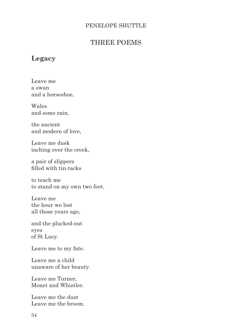# PENELOPE SHUTTLE

# THREE POEMS

# **Legacy**

Leave me a swan and a horseshoe,

Wales and some rain,

the ancient and modern of love,

Leave me dusk inching over the creek,

a pair of slippers filled with tin-tacks

to teach me to stand on my own two feet.

Leave me the hour we lost all those years ago,

and the plucked-out eyes of St Lucy.

Leave me to my fate.

Leave me a child unaware of her beauty.

Leave me Turner, Monet and Whistler.

Leave me the dust Leave me the broom.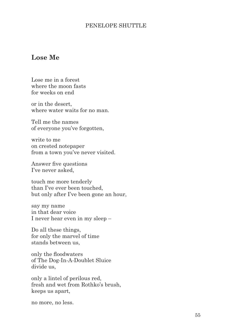### PENELOPE SHUTTLE

# **Lose Me**

Lose me in a forest where the moon fasts for weeks on end

or in the desert, where water waits for no man.

Tell me the names of everyone you've forgotten,

write to me on crested notepaper from a town you've never visited.

Answer five questions I've never asked,

touch me more tenderly than I've ever been touched, but only after I've been gone an hour,

say my name in that dear voice I never hear even in my sleep –

Do all these things, for only the marvel of time stands between us,

only the floodwaters of The Dog-In-A-Doublet Sluice divide us,

only a lintel of perilous red, fresh and wet from Rothko's brush, keeps us apart,

no more, no less.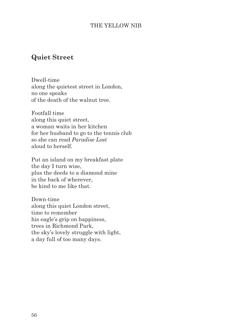# **Quiet Street**

Dwell-time along the quietest street in London, no one speaks of the death of the walnut tree.

Footfall time along this quiet street, a woman waits in her kitchen for her husband to go to the tennis club so she can read *Paradise Lost* aloud to herself.

Put an island on my breakfast plate the day I turn wise, plus the deeds to a diamond mine in the back of wherever, be kind to me like that.

Down-time along this quiet London street, time to remember his eagle's grip on happiness, trees in Richmond Park, the sky's lovely struggle with light, a day full of too many days.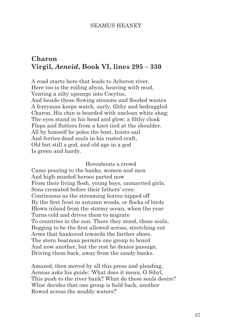# **Charon Virgil,** *Aeneid***, Book VI, lines 295 – 330**

A road starts here that leads to Acheron river. Here too is the roiling abyss, heaving with mud, Venting a silty upsurge into Cocytus, And beside these flowing streams and flooded wastes A ferryman keeps watch, surly, filthy and bedraggled Charon. His chin is bearded with unclean white shag; The eyes stand in his head and glow; a filthy cloak Flaps and flutters from a knot tied at the shoulder. All by himself he poles the boat, hoists sail And ferries dead souls in his rusted craft, Old but still a god, and old age in a god Is green and hardy.

#### Hereabouts a crowd

Came pouring to the banks, women and men And high-minded heroes parted now From their living flesh, young boys, unmarried girls, Sons cremated before their fathers' eyes: Continuous as the streaming leaves nipped off By the first frost in autumn woods, or flocks of birds Blown inland from the stormy ocean, when the year Turns cold and drives them to migrate To countries in the sun. There they stood, those souls, Begging to be the first allowed across, stretching out Arms that hankered towards the farther shore. The stern boatman permits one group to board And now another, but the rest he denies passage, Driving them back, away from the sandy banks.

Amazed, then moved by all this press and pleading, Aeneas asks his guide: 'What does it mean, O Sibyl, This push to the river bank? What do these souls desire? What decides that one group is held back, another Rowed across the muddy waters?'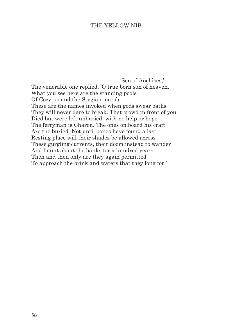'Son of Anchises,' The venerable one replied, 'O true born son of heaven, What you see here are the standing pools Of Cocytus and the Stygian marsh. These are the names invoked when gods swear oaths They will never dare to break. That crowd in front of you Died but were left unburied, with no help or hope. The ferryman is Charon. The ones on board his craft Are the buried. Not until bones have found a last Resting place will their shades be allowed across These gurgling currents, their doom instead to wander And haunt about the banks for a hundred years. Then and then only are they again permitted To approach the brink and waters that they long for.'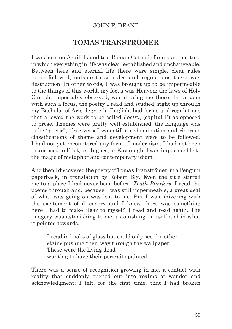## John F. Deane

# **Tomas Tranströmer**

I was born on Achill Island to a Roman Catholic family and culture in which everything in life was clear, established and unchangeable. Between here and eternal life there were simple, clear rules to be followed; outside those rules and regulations there was destruction. In other words, I was brought up to be impermeable to the things of this world, my focus was Heaven; the laws of Holy Church, impeccably observed, would bring me there. In tandem with such a focus, the poetry I read and studied, right up through my Bachelor of Arts degree in English, had forms and regulations that allowed the work to be called *Poetry*, (capital P) as opposed to prose. Themes were pretty well established; the language was to be "poetic", "free verse" was still an abomination and rigorous classifications of theme and development were to be followed. I had not yet encountered any form of modernism; I had not been introduced to Eliot, or Hughes, or Kavanagh. I was impermeable to the magic of metaphor and contemporary idiom.

And then I discovered the poetry of Tomas Tranströmer, in a Penguin paperback, in translation by Robert Bly. Even the title stirred me to a place I had never been before: *Truth Barriers*. I read the poems through and, because I was still impermeable, a great deal of what was going on was lost to me. But I was shivering with the excitement of discovery and I knew there was something here I had to make clear to myself. I read and read again. The imagery was astonishing to me, astonishing in itself and in what it pointed towards.

I read in books of glass but could only see the other: stains pushing their way through the wallpaper. These were the living dead wanting to have their portraits painted.

There was a sense of recognition growing in me, a contact with reality that suddenly opened out into realms of wonder and acknowledgment; I felt, for the first time, that I had broken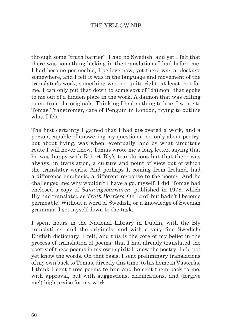through some "truth barrier". I had no Swedish, and yet I felt that there was something lacking in the translations I had before me. I had become permeable, I believe now, yet there was a blockage somewhere, and I felt it was in the language and movement of the translator's work; something was not quite right, at least, not for me. I can only put that down to some sort of "daimon" that spoke to me out of a hidden place in the work. A daimon that was calling to me from the originals. Thinking I had nothing to lose, I wrote to Tomas Tranströmer, care of Penguin in London, trying to outline what I felt.

The first certainty I gained that I had discovered a work, and a person, capable of answering my questions, not only about poetry, but about living, was when, eventually, and by what circuitous route I will never know, Tomas wrote me a long letter, saying that he was happy with Robert Bly's translations but that there was always, in translation, a culture and point of view out of which the translator works. And perhaps I, coming from Ireland, had a difference emphasis, a different response to the poems. And he challenged me: why wouldn't I have a go, myself. I did. Tomas had enclosed a copy of *Sanningsbarriären*, published in 1978, which Bly had translated as *Truth Barriers*. Oh Lord! but hadn't I become permeable! Without a word of Swedish, or a knowledge of Swedish grammar, I set myself down to the task.

I spent hours in the National Library in Dublin, with the Bly translations, and the originals, and with a very fine Swedish/ English dictionary. I felt, and this is the core of my belief in the process of translation of poems, that I had already translated the poetry of these poems in my own spirit: I knew the poetry, I did not yet know the words. On that basis, I sent preliminary translations of my own back to Tomas, directly this time,to his home in Västerås. I think I sent three poems to him and he sent them back to me, with approval, but with suggestions, clarifications, and (forgive me!) high praise for my work.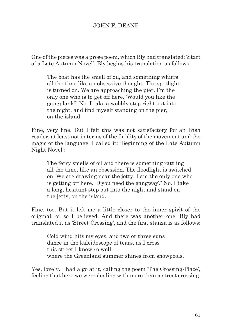## John F. Deane

One ofthe pieces was a prose poem, which Bly had translated: 'Start of a Late Autumn Novel'; Bly begins his translation as follows:

The boat has the smell of oil, and something whirrs all the time like an obsessive thought. The spotlight is turned on. We are approaching the pier. I'm the only one who is to get off here. 'Would you like the gangplank?' No. I take a wobbly step right out into the night, and find myself standing on the pier, on the island.

Fine, very fine. But I felt this was not satisfactory for an Irish reader, at least not in terms of the fluidity of the movement and the magic of the language. I called it: 'Beginning of the Late Autumn Night Novel':

The ferry smells of oil and there is something rattling all the time, like an obsession. The floodlight is switched on. We are drawing near the jetty. I am the only one who is getting off here. 'D'you need the gangway?' No. I take a long, hesitant step out into the night and stand on the jetty, on the island.

Fine, too. But it left me a little closer to the inner spirit of the original, or so I believed. And there was another one: Bly had translated it as 'Street Crossing', and the first stanza is as follows:

Cold wind hits my eyes, and two or three suns dance in the kaleidoscope of tears, as I cross this street I know so well, where the Greenland summer shines from snowpools.

Yes, lovely. I had a go at it, calling the poem 'The Crossing-Place', feeling that here we were dealing with more than a street crossing: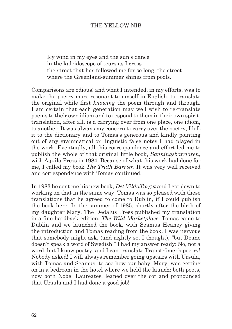Icy wind in my eyes and the sun's dance in the kaleidoscope of tears as I cross the street that has followed me for so long, the street where the Greenland-summer shines from pools.

Comparisons are odious! and what I intended, in my efforts, was to make the poetry more resonant to myself in English, to translate the original while first *knowing* the poem through and through. I am certain that each generation may well wish to re-translate poems to their own idiom and to respond to them in their own spirit; translation, after all, is a carrying over from one place, one idiom, to another. It was always my concern to carry over the poetry; I left it to the dictionary and to Tomas's generous and kindly pointing out of any grammatical or linguistic false notes I had played in the work. Eventually, all this correspondence and effort led me to publish the whole of that original little book, *Sanningsbarriären*, with Aquila Press in 1984. Because of what this work had done for me, I called my book *The Truth Barrier*. It was very well received and correspondence with Tomas continued.

In 1983 he sent me his new book, *Det VildaTorget* and I got down to working on that in the same way. Tomas was so pleased with these translations that he agreed to come to Dublin, if I could publish the book here. In the summer of 1985, shortly after the birth of my daughter Mary, The Dedalus Press published my translation in a fine hardback edition, *The Wild Marketplace*. Tomas came to Dublin and we launched the book, with Seamus Heaney giving the introduction and Tomas reading from the book. I was nervous that somebody might ask, (and rightly so, I thought), "but Deane doesn't speak a word of Swedish!" I had my answer ready: No, not a word, but I know poetry, and I can translate Tranströmer's poetry! Nobody asked! I will always remember going upstairs with Ursula, with Tomas and Seamus, to see how our baby, Mary, was getting on in a bedroom in the hotel where we held the launch; both poets, now both Nobel Laureates, leaned over the cot and pronounced that Ursula and I had done a good job!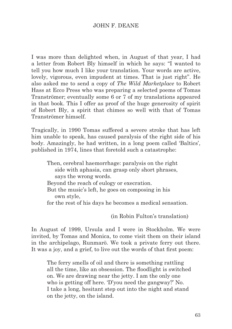#### John F. Deane

I was more than delighted when, in August of that year, I had a letter from Robert Bly himself in which he says: "I wanted to tell you how much I like your translation. Your words are active, lovely, vigorous, even impudent at times. That is just right". He also asked me to send a copy of *The Wild Marketplace* to Robert Hass at Ecco Press who was preparing a selected poems of Tomas Tranströmer; eventually some 6 or 7 of my translations appeared in that book. This I offer as proof of the huge generosity of spirit of Robert Bly, a spirit that chimes so well with that of Tomas Tranströmer himself.

Tragically, in 1990 Tomas suffered a severe stroke that has left him unable to speak, has caused paralysis of the right side of his body. Amazingly, he had written, in a long poem called 'Baltics', published in 1974, lines that foretold such a catastrophe:

Then, cerebral haemorrhage: paralysis on the right side with aphasia, can grasp only short phrases, says the wrong words. Beyond the reach of eulogy or execration. But the music's left, he goes on composing in his own style, for the rest of his days he becomes a medical sensation.

(in Robin Fulton's translation)

In August of 1999, Ursula and I were in Stockholm. We were invited, by Tomas and Monica, to come visit them on their island in the archipelago, Runmarö. We took a private ferry out there. It was a joy, and a grief, to live out the words of that first poem:

The ferry smells of oil and there is something rattling all the time, like an obsession. The floodlight is switched on. We are drawing near the jetty. I am the only one who is getting off here. 'D'you need the gangway?' No. I take a long, hesitant step out into the night and stand on the jetty, on the island.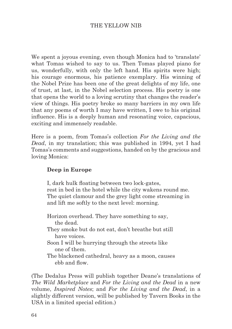We spent a joyous evening, even though Monica had to 'translate' what Tomas wished to say to us. Then Tomas played piano for us, wonderfully, with only the left hand. His spirits were high; his courage enormous, his patience exemplary. His winning of the Nobel Prize has been one of the great delights of my life, one of trust, at last, in the Nobel selection process. His poetry is one that opens the world to a loving scrutiny that changes the reader's view of things. His poetry broke so many barriers in my own life that any poems of worth I may have written, I owe to his original influence. His is a deeply human and resonating voice, capacious, exciting and immensely readable.

Here is a poem, from Tomas's collection *For the Living and the Dead*, in my translation; this was published in 1994, yet I had Tomas's comments and suggestions, handed on by the gracious and loving Monica:

#### **Deep in Europe**

I, dark hulk floating between two lock-gates, rest in bed in the hotel while the city wakens round me. The quiet clamour and the grey light come streaming in and lift me softly to the next level: morning.

Horizon overhead. They have something to say, the dead. They smoke but do not eat, don't breathe but still have voices. Soon I will be hurrying through the streets like one of them. The blackened cathedral, heavy as a moon, causes ebb and flow.

(The Dedalus Press will publish together Deane's translations of *The Wild Marketplace* and *For the Living and the Dead* in a new volume, *Inspired Notes*; and *For the Living and the Dead*, in a slightly different version, will be published by Tavern Books in the USA in a limited special edition.)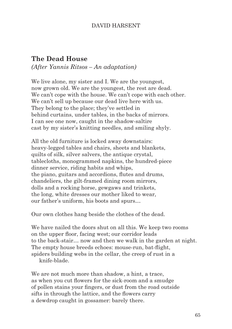### David Harsent

# **The Dead House**

*(After Yannis Ritsos – An adaptation)*

We live alone, my sister and I. We are the youngest, now grown old. We are the youngest, the rest are dead. We can't cope with the house. We can't cope with each other. We can't sell up because our dead live here with us. They belong to the place; they've settled in behind curtains, under tables, in the backs of mirrors. I can see one now, caught in the shadow-saltire cast by my sister's knitting needles, and smiling shyly.

All the old furniture is locked away downstairs: heavy-legged tables and chairs, sheets and blankets, quilts of silk, silver salvers, the antique crystal, tablecloths, monogrammed napkins, the hundred-piece dinner service, riding habits and whips, the piano, guitars and accordions, flutes and drums, chandeliers, the gilt-framed dining room mirrors, dolls and a rocking horse, gewgaws and trinkets. the long, white dresses our mother liked to wear, our father's uniform, his boots and spurs…

Our own clothes hang beside the clothes of the dead.

We have nailed the doors shut on all this. We keep two rooms on the upper floor, facing west; our corridor leads to the back-stair… now and then we walk in the garden at night. The empty house breeds echoes: mouse-run, bat-flight, spiders building webs in the cellar, the creep of rust in a knife-blade.

We are not much more than shadow, a hint, a trace, as when you cut flowers for the sick-room and a smudge of pollen stains your fingers, or dust from the road outside sifts in through the lattice, and the flowers carry a dewdrop caught in gossamer: barely there.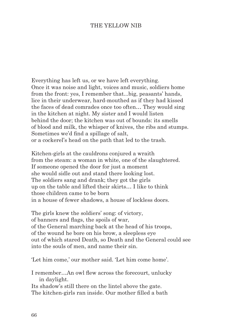Everything has left us, or we have left everything. Once it was noise and light, voices and music, soldiers home from the front: yes, I remember that...big, peasants' hands, lice in their underwear, hard-mouthed as if they had kissed the faces of dead comrades once too often… They would sing in the kitchen at night. My sister and I would listen behind the door; the kitchen was out of bounds: its smells of blood and milk, the whisper of knives, the ribs and stumps. Sometimes we'd find a spillage of salt, or a cockerel's head on the path that led to the trash.

Kitchen-girls at the cauldrons conjured a wraith from the steam: a woman in white, one of the slaughtered. If someone opened the door for just a moment she would sidle out and stand there looking lost. The soldiers sang and drank; they got the girls up on the table and lifted their skirts… I like to think those children came to be born in a house of fewer shadows, a house of lockless doors.

The girls knew the soldiers' song: of victory, of banners and flags, the spoils of war, of the General marching back at the head of his troops, of the wound he bore on his brow, a sleepless eye out of which stared Death, so Death and the General could see into the souls of men, and name their sin.

'Let him come,' our mother said. 'Let him come home'.

I remember…An owl flew across the forecourt, unlucky in daylight.

Its shadow's still there on the lintel above the gate. The kitchen-girls ran inside. Our mother filled a bath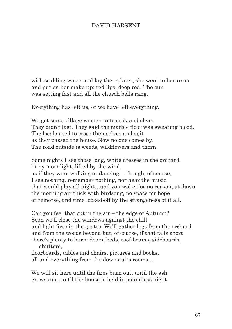### David Harsent

with scalding water and lay there; later, she went to her room and put on her make-up: red lips, deep red. The sun was setting fast and all the church bells rang.

Everything has left us, or we have left everything.

We got some village women in to cook and clean. They didn't last. They said the marble floor was sweating blood. The locals used to cross themselves and spit as they passed the house. Now no one comes by. The road outside is weeds, wildflowers and thorn.

Some nights I see those long, white dresses in the orchard, lit by moonlight, lifted by the wind, as if they were walking or dancing… though, of course, I see nothing, remember nothing, nor hear the music that would play all night…and you woke, for no reason, at dawn, the morning air thick with birdsong, no space for hope or remorse, and time locked-off by the strangeness of it all.

Can you feel that cut in the air – the edge of Autumn? Soon we'll close the windows against the chill and light fires in the grates. We'll gather logs from the orchard and from the woods beyond but, of course, if that falls short there's plenty to burn: doors, beds, roof-beams, sideboards, shutters,

floorboards, tables and chairs, pictures and books, all and everything from the downstairs rooms…

We will sit here until the fires burn out, until the ash grows cold, until the house is held in boundless night.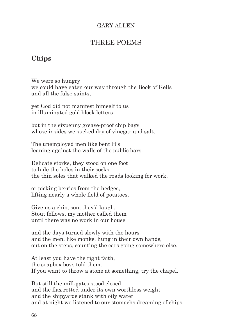## Gary Allen

# THREE POEMS

# **Chips**

We were so hungry we could have eaten our way through the Book of Kells and all the false saints,

yet God did not manifest himself to us in illuminated gold block letters

but in the sixpenny grease-proof chip bags whose insides we sucked dry of vinegar and salt.

The unemployed men like bent H's leaning against the walls of the public bars.

Delicate storks, they stood on one foot to hide the holes in their socks, the thin soles that walked the roads looking for work,

or picking berries from the hedges, lifting nearly a whole field of potatoes.

Give us a chip, son, they'd laugh. Stout fellows, my mother called them until there was no work in our house

and the days turned slowly with the hours and the men, like monks, hung in their own hands, out on the steps, counting the cars going somewhere else.

At least you have the right faith, the soapbox boys told them. If you want to throw a stone at something, try the chapel.

But still the mill-gates stood closed and the flax rotted under its own worthless weight and the shipyards stank with oily water and at night we listened to our stomachs dreaming of chips.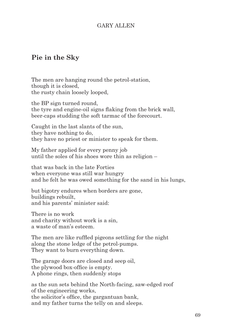### Gary Allen

# **Pie in the Sky**

The men are hanging round the petrol-station, though it is closed, the rusty chain loosely looped,

the BP sign turned round, the tyre and engine-oil signs flaking from the brick wall, beer-caps studding the soft tarmac of the forecourt.

Caught in the last slants of the sun, they have nothing to do, they have no priest or minister to speak for them.

My father applied for every penny job until the soles of his shoes wore thin as religion –

that was back in the late Forties when everyone was still war hungry and he felt he was owed something for the sand in his lungs,

but bigotry endures when borders are gone, buildings rebuilt, and his parents' minister said:

There is no work and charity without work is a sin, a waste of man's esteem.

The men are like ruffled pigeons settling for the night along the stone ledge of the petrol-pumps. They want to burn everything down.

The garage doors are closed and seep oil, the plywood box-office is empty. A phone rings, then suddenly stops

as the sun sets behind the North-facing, saw-edged roof of the engineering works, the solicitor's office, the gargantuan bank, and my father turns the telly on and sleeps.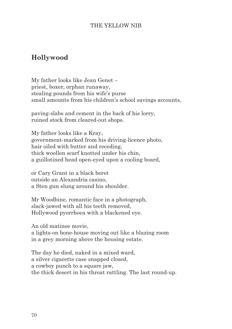# **Hollywood**

My father looks like Jean Genet – priest, boxer, orphan runaway, stealing pounds from his wife's purse small amounts from his children's school savings accounts,

paving-slabs and cement in the back of his lorry, ruined stock from cleared-out shops.

My father looks like a Kray, government-marked from his driving-licence photo, hair oiled with butter and receding, thick woollen scarf knotted under his chin, a guillotined head open-eyed upon a cooling board,

or Cary Grant in a black beret outside an Alexandria casino, a Sten gun slung around his shoulder.

Mr Woodbine, romantic face in a photograph, slack-jawed with all his teeth removed, Hollywood pyorrhoea with a blackened eye.

An old matinee movie,

a lights-on bone-house moving out like a blazing room in a grey morning above the housing estate.

The day he died, naked in a mixed ward, a silver cigarette case snapped closed, a cowboy punch to a square jaw, the thick desert in his throat rattling. The last round-up.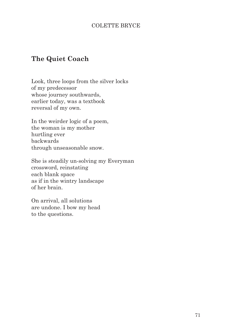### COLETTE BRYCE

# **The Quiet Coach**

Look, three loops from the silver locks of my predecessor whose journey southwards, earlier today, was a textbook reversal of my own.

In the weirder logic of a poem, the woman is my mother hurtling ever backwards through unseasonable snow.

She is steadily un-solving my Everyman crossword, reinstating each blank space as if in the wintry landscape of her brain.

On arrival, all solutions are undone. I bow my head to the questions.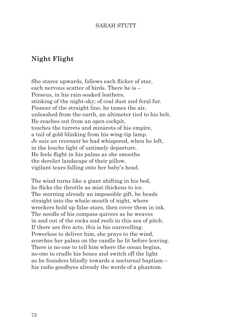#### **SARAH STUTT**

# **Night Flight**

She stares upwards, follows each flicker of star, each nervous scatter of birds. There he is – Perseus, in his rain-soaked leathers, stinking of the night-sky; of coal dust and feral fur. Pioneer of the straight line, he tames the air, unleashed from the earth, an altimeter tied to his belt. He reaches out from an open cockpit, touches the turrets and minarets of his empire, a tail of gold blinking from his wing-tip lamp. *Je suis un revenant* he had whispered, when he left, in the louche light of untimely departure. He feels flight in his palms as she smooths the derelict landscape of their pillow, vigilant tears falling onto her baby's head.

The wind turns like a giant shifting in his bed, he flicks the throttle as mist thickens to ice. The morning already an impossible gift, he heads straight into the whale-mouth of night, where wreckers hold up false stars, then cover them in ink. The needle of his compass quivers as he weaves in and out of the rocks and reefs in this sea of pitch. If there are five acts, *this* is his unravelling. Powerless to deliver him, she prays to the wind, scorches her palms on the candle he lit before leaving. There is no-one to tell him where the ocean begins, no-one to cradle his bones and switch off the light as he founders blindly towards a nocturnal baptism – his radio goodbyes already the words of a phantom.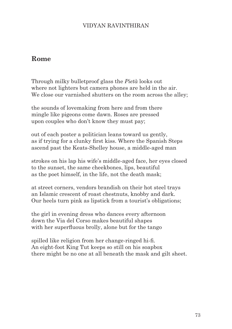## Vidyan Ravinthiran

## **Rome**

Through milky bulletproof glass the *Pietà* looks out where not lighters but camera phones are held in the air. We close our varnished shutters on the room across the alley;

the sounds of lovemaking from here and from there mingle like pigeons come dawn. Roses are pressed upon couples who don't know they must pay;

out of each poster a politician leans toward us gently, as if trying for a clunky first kiss. Where the Spanish Steps ascend past the Keats-Shelley house, a middle-aged man

strokes on his lap his wife's middle-aged face, her eyes closed to the sunset, the same cheekbones, lips, beautiful as the poet himself, in the life, not the death mask;

at street corners, vendors brandish on their hot steel trays an Islamic crescent of roast chestnuts, knobby and dark. Our heels turn pink as lipstick from a tourist's obligations;

the girl in evening dress who dances every afternoon down the Via del Corso makes beautiful shapes with her superfluous brolly, alone but for the tango

spilled like religion from her change-ringed hi-fi. An eight-foot King Tut keeps so still on his soapbox there might be no one at all beneath the mask and gilt sheet.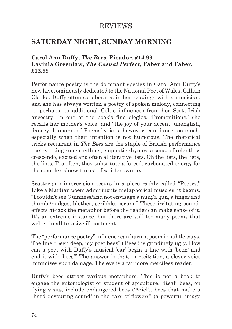# **SATURDAY NIGHT, SUNDAY MORNING**

## **Carol Ann Duffy,** *The Bees***, Picador, £14.99 Lavinia Greenlaw,** *The Casual Perfect,* **Faber and Faber, £12.99**

Performance poetry is the dominant species in Carol Ann Duffy's new hive, ominously dedicated to the National Poet of Wales, Gillian Clarke. Duffy often collaborates in her readings with a musician, and she has always written a poetry of spoken melody, connecting it, perhaps, to additional Celtic influences from her Scots-Irish ancestry. In one of the book's fine elegies, 'Premonitions,' she recalls her mother's voice, and "the joy of your accent, unenglish, dancey, humorous." Poems' voices, however, can dance too much, especially when their intention is not humorous. The rhetorical tricks recurrent in *The Bees* are the staple of British performance poetry – sing-song rhythms, emphatic rhymes, a sense of relentless crescendo, excited and often alliterative lists. Oh the lists, the lists, the lists. Too often, they substitute a forced, carbonated energy for the complex sinew-thrust of written syntax.

Scatter-gun imprecision occurs in a piece rashly called "Poetry." Like a Martian poem admiring its metaphorical muscles, it begins, "I couldn't see Guinness/and not envisage a nun;/a gun, a finger and thumb;/midges, blether, scribble, scrum." These irritating soundeffects hi-jack the metaphor before the reader can make sense of it. It's an extreme instance, but there are still too many poems that welter in alliterative ill-sortment.

The "performance poetry"influence can harm a poem in subtle ways. The line "Been deep, my poet bees" ('Bees') is grindingly ugly. How can a poet with Duffy's musical 'ear' begin a line with 'been' and end it with 'bees'? The answer is that, in recitation, a clever voice minimises such damage. The eye is a far more merciless reader.

Duffy's bees attract various metaphors. This is not a book to engage the entomologist or student of apiculture. "Real" bees, on flying visits, include endangered bees ('Ariel'), bees that make a "hard devouring sound/ in the ears of flowers" (a powerful image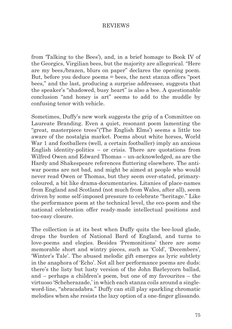from 'Talking to the Bees'), and, in a brief homage to Book IV of the Georgics, Virgilian bees, but the majority are allegorical. "Here are my bees,/brazen, blurs on paper" declares the opening poem. But, before you deduce poems = bees, the next stanza offers "poet bees," and the last, producing a surprise addressee, suggests that the speaker's "shadowed, busy heart" is also a bee. A questionable conclusion "and honey is art" seems to add to the muddle by confusing tenor with vehicle.

Sometimes, Duffy's new work suggests the grip of a Committee on Laureate Branding. Even a quiet, resonant poem lamenting the "great, masterpiece trees"('The English Elms') seems a little too aware of the nostalgia market. Poems about white horses, World War 1 and footballers (well, a certain footballer) imply an anxious English identity-politics  $-$  or crisis. There are quotations from Wilfred Owen and Edward Thomas – un-acknowledged, as are the Hardy and Shakespeare references fluttering elsewhere. The antiwar poems are not bad, and might be aimed at people who would never read Owen or Thomas, but they seem over-stated, primarycoloured, a bit like drama-documentaries. Litanies of place-names from England and Scotland (not much from Wales, after all), seem driven by some self-imposed pressure to celebrate "heritage." Like the performance poem at the technical level, the eco-poem and the national celebration offer ready-made intellectual positions and too-easy closure.

The collection is at its best when Duffy quits the bee-loud glade, drops the burden of National Bard of England, and turns to love-poems and elegies. Besides 'Premonitions' there are some memorable short and wintry pieces, such as 'Cold', 'Decembers', 'Winter's Tale'. The abused melodic gift emerges as lyric subtlety in the anaphora of 'Echo'. Not all her performance poems are duds: there's the listy but lusty version of the John Barleycorn ballad, and – perhaps a children's poem, but one of my favourites – the virtuoso 'Scheherazade,' in which each stanza coils around a singleword-line, "abracadabra." Duffy can still play sparkling chromatic melodies when she resists the lazy option of a one-finger glissando.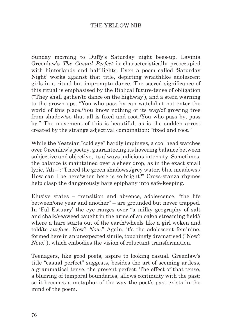Sunday morning to Duffy's Saturday night bees-up, Lavinia Greenlaw's *The Casual Perfect* is characteristically preoccupied with hinterlands and half-lights. Even a poem called 'Saturday Night' works against that title, depicting wraithlike adolescent girls in a ritual but impromptu dance. The sacred significance of this ritual is emphasised by the Biblical future-tense of obligation ("They shall gather/to dance on the highway'), and a stern warning to the grown-ups: "You who pass by can watch/but not enter the world of this place./You know nothing of its way/of growing tree from shadow/so that all is fixed and root./You who pass by, pass by." The movement of this is beautiful, as is the sudden arrest created by the strange adjectival combination: "fixed and root."

While the Yeatsian "cold eye" hardly impinges, a cool head watches over Greenlaw's poetry, guaranteeing its hovering balance between subjective and objective, its always judicious intensity. Sometimes, the balance is maintained over a sheer drop, as in the exact small lyric, 'Ah –': "I need the green shadows,/grey water, blue meadows./ How can I be here/when here is so bright?" Cross-stanza rhymes help clasp the dangerously bare epiphany into safe-keeping.

Elusive states – transition and absence, adolescence, "the life between/one year and another" – are grounded but never trapped. In 'Fal Estuary' the eye ranges over "a milky geography of salt and chalk/seaweed caught in the arms of an oak/a streaming field// where a hare starts out of the earth/wheels like a girl woken and told/to *surface*. Now? *Now*." Again, it's the adolescent feminine, formed here in an unexpected simile, touchingly dramatised ("Now? *Now.*"), which embodies the vision of reluctant transformation.

Teenagers, like good poets, aspire to looking casual. Greenlaw's title "casual perfect" suggests, besides the art of seeming artless, a grammatical tense, the present perfect. The effect of that tense, a blurring of temporal boundaries, allows continuity with the past: so it becomes a metaphor of the way the poet's past exists in the mind of the poem.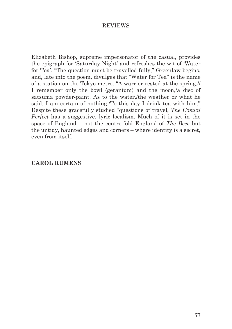Elizabeth Bishop, supreme impersonator of the casual, provides the epigraph for 'Saturday Night' and refreshes the wit of 'Water for Tea'. "The question must be travelled fully," Greenlaw begins, and, late into the poem, divulges that "Water for Tea" is the name of a station on the Tokyo metro. "A warrior rested at the spring.// I remember only the bowl (geranium) and the moon,/a disc of satsuma powder-paint. As to the water,/the weather or what he said, I am certain of nothing./To this day I drink tea with him." Despite these gracefully studied "questions of travel, *The Casual Perfect* has a suggestive, lyric localism. Much of it is set in the space of England – not the centre-fold England of *The Bees* but the untidy, haunted edges and corners – where identity is a secret, even from itself.

### **CAROL RUMENS**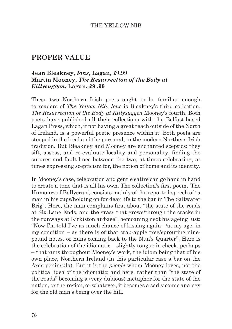# **PROPER VALUE**

### **Jean Bleakney,** *Ions***, Lagan, £9.99 Martin Mooney,** *The Resurrection of the Body at Killysuggen***, Lagan, £9 .99**

These two Northern Irish poets ought to be familiar enough to readers of *The Yellow Nib*. *Ions* is Bleakney's third collection, *The Resurrection of the Body at Killysuggen* Mooney's fourth. Both poets have published all their collections with the Belfast-based Lagan Press, which, if not having a great reach outside of the North of Ireland, is a powerful poetic presence within it. Both poets are steeped in the local and the personal, in the modern Northern Irish tradition. But Bleakney and Mooney are enchanted sceptics: they sift, assess, and re-evaluate locality and personality, finding the sutures and fault-lines between the two, at times celebrating, at times expressing scepticism for, the notion of home and its identity.

In Mooney's case, celebration and gentle satire can go hand in hand to create a tone that is all his own. The collection's first poem, 'The Humours of Ballycran', consists mainly of the reported speech of "a man in his cups/holding on for dear life to the bar in The Saltwater Brig". Here, the man complains first about "the state of the roads at Six Lane Ends, and the grass that grows/through the cracks in the runways at Kirkiston airbase", bemoaning next his ageing lust: "Now I'm told I've as much chance of kissing again –/at my age, in my condition – as there is of that crab-apple tree/sprouting ninepound notes, or nuns coming back to the Nun's Quarter". Here is the celebration of the idiomatic – slightly tongue in cheek, perhaps – that runs throughout Mooney's work, the idiom being that of his own place, Northern Ireland (in this particular case a bar on the Ards peninsula). But it is the *people* whom Mooney loves, not the political idea of the idiomatic: and here, rather than "the state of the roads" becoming a (very dubious) metaphor for the state of the nation, or the region, or whatever, it becomes a sadly comic analogy for the old man's being over the hill.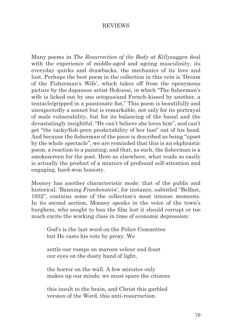Many poems in *The Resurrection of the Body at Killysuggen* deal with the experience of middle-aged and ageing masculinity, its everyday quirks and drawbacks, the mechanics of its love and lust. Perhaps the best poem in the collection in this vein is 'Dream of the Fisherman's Wife', which takes off from the eponymous picture by the Japanese artist Hokusai, in which "The fisherman's wife is licked out by one octopus/and French-kissed by another, a tentacle/gripped in a passionate fist." This poem is beautifully and unexpectedly a sonnet but is remarkable, not only for its portrayal of male vulnerability, but for its balancing of the banal and the devastatingly insightful. "He can't believe she loves him", and can't get "the tacky/fish-porn predictability of her lust" out of his head. And because the fisherman of the piece is described as being "upset by the whole spectacle", we are reminded that this is an ekphrastic poem, a reaction to a painting; and that, as such, the fisherman is a smokescreen for the poet. Here as elsewhere, what reads so easily is actually the product of a mixture of profound self-attention and engaging, hard-won honesty.

Mooney has another characteristic mode: that of the public and historical. 'Banning *Frankenstein*', for instance, subtitled "Belfast, 1932", contains some of the collection's most intense moments. In its second section, Mooney speaks in the voice of the town's burghers, who sought to ban the film lest it should corrupt or too much excite the working class in time of economic depression:

God's is the last word on the Police Committee but He casts his vote by proxy. We

settle our rumps on maroon velour and feast our eyes on the dusty hand of light,

the horror on the wall. A few minutes only makes up our minds: we must spare the citizens

this insult to the brain, and Christ this garbled version of the Word, this anti-resurrection.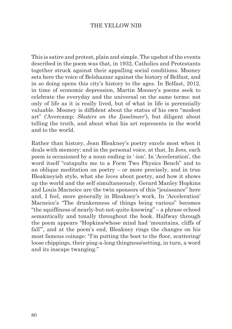This is satire and protest, plain and simple. The upshot of the events described in the poem was that, in 1932, Catholics and Protestants together struck against their appalling social conditions. Mooney sets here the voice of Belshazzar against the history of Belfast, and in so doing opens this city's history to the ages. In Belfast, 2012, in time of economic depression, Martin Mooney's poems seek to celebrate the everyday and the universal on the same terms: not only of life as it is really lived, but of what in life is perennially valuable. Mooney is diffident about the status of his own "modest art" ('Avercamp: *Skaters on the Ijsselmeer*'), but diligent about telling the truth, and about what his art represents in the world and to the world.

Rather than history, Jean Bleakney's poetry excels most when it deals with memory: and in the personal voice, at that. In *Ions*, each poem is occasioned by a noun ending in '-ion'. In 'Acceleration', the word itself "catapults me to a Form Two Physics Bench" and to an oblique meditation on poetry  $-$  or more precisely, and in true Bleakneyish style, what she *loves* about poetry, and how it shows up the world and the self simultaneously. Gerard Manley Hopkins and Louis Macneice are the twin sponsors of this "jouissance" here and, I feel, more generally in Bleakney's work. In 'Acceleration' Macneice's "The drunkenness of things being various" becomes "the squiffiness of nearly-but-not-quite-knowing" – a phrase echoed semantically and tonally throughout the book. Halfway through the poem appears "Hopkins/whose mind had 'mountains, cliffs of fall'", and at the poem's end, Bleakney rings the changes on his most famous coinage: "I'm putting the boot to the floor, scattering/ loose chippings, their ping-a-long thingness/setting, in turn, a word and its inscape twanging."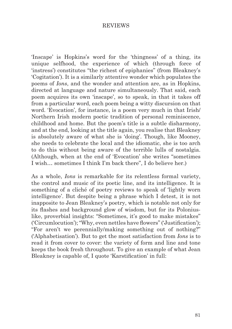'Inscape' is Hopkins's word for the 'thingness' of a thing, its unique selfhood, the experience of which (through force of 'instress') constitutes "the richest of epiphanies" (from Bleakney's 'Cogitation'). It is a similarly attentive wonder which populates the poems of *Ions*, and the wonder and attention are, as in Hopkins, directed at language and nature simultaneously. That said, each poem acquires its own 'inscape', so to speak, in that it takes off from a particular word, each poem being a witty discursion on that word. 'Evocation', for instance, is a poem very much in that Irish/ Northern Irish modern poetic tradition of personal reminiscence, childhood and home. But the poem's title is a subtle disharmony, and at the end, looking at the title again, you realise that Bleakney is absolutely aware of what she is 'doing'. Though, like Mooney, she needs to celebrate the local and the idiomatic, she is too arch to do this without being aware of the terrible lulls of nostalgia. (Although, when at the end of 'Evocation' she writes "sometimes I wish… sometimes I think I'm back there", I do believe her.)

As a whole, *Ions* is remarkable for its relentless formal variety, the control and music of its poetic line, and its intelligence. It is something of a cliché of poetry reviews to speak of 'lightly worn intelligence'. But despite being a phrase which I detest, it is not inapposite to Jean Bleakney's poetry, which is notable not only for its flashes and background glow of wisdom, but for its Poloniuslike, proverbial insights: "Sometimes, it's good to make mistakes" ('Circumlocution');"Why, even nettles have flowers"('Justification'); "For aren't we perennially/making something out of nothing?" ('Alphabetisation'). But to get the most satisfaction from *Ions* is to read it from cover to cover: the variety of form and line and tone keeps the book fresh throughout. To give an example of what Jean Bleakney is capable of, I quote 'Karstification' in full: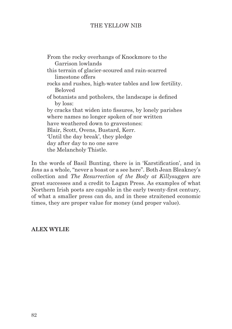From the rocky overhangs of Knockmore to the Garrison lowlands this terrain of glacier-scoured and rain-scarred limestone offers rocks and rushes, high-water tables and low fertility. Beloved of botanists and potholers, the landscape is defined by loss: by cracks that widen into fissures, by lonely parishes where names no longer spoken of nor written have weathered down to gravestones: Blair, Scott, Ovens, Bustard, Kerr. 'Until the day break', they pledge day after day to no one save the Melancholy Thistle.

In the words of Basil Bunting, there is in 'Karstification', and in *Ions* as a whole, "never a boast or a see here". Both Jean Bleakney's collection and *The Resurrection of the Body at Killysuggen* are great successes and a credit to Lagan Press. As examples of what Northern Irish poets are capable in the early twenty-first century, of what a smaller press can do, and in these straitened economic times, they are proper value for money (and proper value).

**ALEX WYLIE**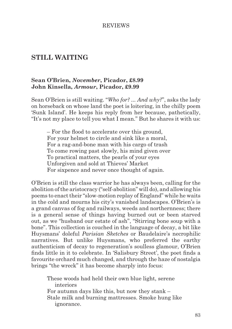# **STILL WAITING**

#### **Sean O'Brien,** *November***, Picador, £8.99 John Kinsella,** *Armour***, Picador, £9.99**

Sean O'Brien is still waiting. "*Who for? ... And why?*", asks the lady on horseback on whose land the poet is loitering, in the chilly poem 'Sunk Island'. He keeps his reply from her because, pathetically, "It's not my place to tell you what I mean." But he shares it with us:

– For the flood to accelerate over this ground, For your helmet to circle and sink like a moral, For a rag-and-bone man with his cargo of trash To come rowing past slowly, his mind given over To practical matters, the pearls of your eyes Unforgiven and sold at Thieves' Market For sixpence and never once thought of again.

O'Brien is still the class warrior he has always been, calling for the abolition ofthe aristocracy ("self-abolition" will do), and allowing his poems to enact their "slow-motion replay of England" while he waits in the cold and mourns his city's vanished landscapes. O'Brien's is a grand canvas of fog and railways, weeds and northernness; there is a general sense of things having burned out or been starved out, as we "husband our estate of ash", "Stirring bone soup with a bone". This collection is couched in the language of decay, a bit like Huysmans' doleful *Parisian Sketches* or Baudelaire's necrophilic narratives. But unlike Huysmans, who preferred the earthy authenticism of decay to regeneration's soulless glamour, O'Brien finds little in it to celebrate. In 'Salisbury Street', the poet finds a favourite orchard much changed, and through the haze of nostalgia brings "the wreck" it has become sharply into focus:

These woods had held their own blue light, serene interiors For autumn days like this, but now they stank – Stale milk and burning mattresses. Smoke hung like ignorance.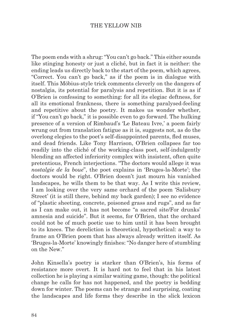The poem ends with a shrug:"You can't go back." This either sounds like stinging honesty or just a cliché, but in fact it is neither: the ending leads us directly back to the start of the poem, which agrees, "Correct. You can't go back," as if the poem is in dialogue with itself. This Möbius-style trick comments cleverly on the dangers of nostalgia, its potential for paralysis and repetition. But it is as if O'Brien is confessing to something: for all its elegiac deftness, for all its emotional frankness, there is something paralysed-feeling and repetitive about the poetry. It makes us wonder whether, if "You can't go back," it is possible even to go forward. The hulking presence of a version of Rimbaud's 'Le Bateau Ivre,' a poem fairly wrung out from translation fatigue as it is, suggests not, as do the overlong elegies to the poet's self-disappointed parents, fled muses, and dead friends. Like Tony Harrison, O'Brien collapses far too readily into the cliché of the working-class poet, self-indulgently blending an affected inferiority complex with insistent, often quite pretentious, French interjections. "The doctors would allege it was *nostalgie de la boue*", the poet explains in 'Bruges-la-Morte'; the doctors would be right. O'Brien doesn't just mourn his vanished landscapes, he wills them to be that way. As I write this review, I am looking over the very same orchard of the poem 'Salisbury Street' (it is still there, behind my back garden); I see no evidence of "plastic sheeting, concrete, poisoned grass and rugs", and as far as I can make out, it has not become "a sacred site/For drunks' amnesia and suicide". But it seems, for O'Brien, that the orchard could not be of much poetic use to him until it has been brought to its knees. The dereliction is theoretical, hypothetical: a way to frame an O'Brien poem that has always already written itself. As 'Bruges-la-Morte' knowingly finishes: "No danger here of stumbling on the New."

John Kinsella's poetry is starker than O'Brien's, his forms of resistance more overt. It is hard not to feel that in his latest collection he is playing a similar waiting game, though: the political change he calls for has not happened, and the poetry is bedding down for winter. The poems can be strange and surprising, coating the landscapes and life forms they describe in the slick lexicon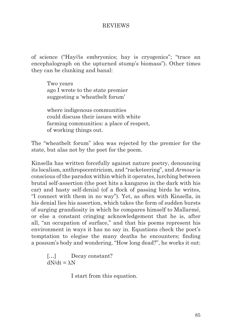of science ("Hay//is embryonics; hay is cryogenics"; "trace an encephalograph on the upturned stump's biomass"). Other times they can be clunking and banal:

Two years ago I wrote to the state premier suggesting a 'wheatbelt forum'

where indigenous communities could discuss their issues with white farming communities: a place of respect, of working things out.

The "wheatbelt forum" idea was rejected by the premier for the state, but alas not by the poet for the poem.

Kinsella has written forcefully against nature poetry, denouncing its localism, anthropocentricism, and "racketeering", and *Armour* is conscious of the paradox within which it operates, lurching between brutal self-assertion (the poet hits a kangaroo in the dark with his car) and hasty self-denial (of a flock of passing birds he writes, "I connect with them in no way"). Yet, as often with Kinsella, in his denial lies his assertion, which takes the form of sudden bursts of surging grandiosity in which he compares himself to Mallarmé, or else a constant cringing acknowledgement that he is, after all, "an occupation of surface," and that his poems represent his environment in ways it has no say in. Equations check the poet's temptation to elegise the many deaths he encounters; finding a possum's body and wondering, "How long dead?", he works it out:

[...] Decay constant?  $dN/dt = \lambda N$ 

I start from this equation.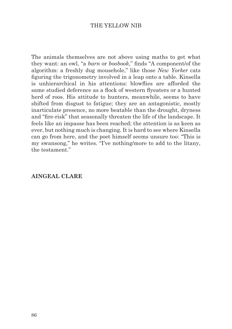The animals themselves are not above using maths to get what they want: an owl, "a *barn* or *boobook*," finds "A component/of the algorithm: a freshly dug mousehole," like those *New Yorker* cats figuring the trigonometry involved in a leap onto a table. Kinsella is unhierarchical in his attentions: blowflies are afforded the same studied deference as a flock of western flyeaters or a hunted herd of roos. His attitude to hunters, meanwhile, seems to have shifted from disgust to fatigue; they are an antagonistic, mostly inarticulate presence, no more beatable than the drought, dryness and "fire-risk" that seasonally threaten the life of the landscape. It feels like an impasse has been reached; the attention is as keen as ever, but nothing much is changing. It is hard to see where Kinsella can go from here, and the poet himself seems unsure too: "This is my swansong," he writes. "I've nothing/more to add to the litany, the testament."

#### **AINGEAL CLARE**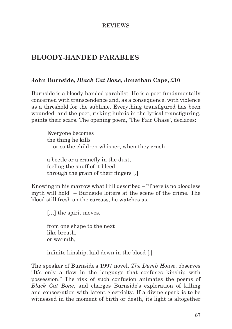# **BLOODY-HANDED PARABLES**

## **John Burnside,** *Black Cat Bone***, Jonathan Cape, £10**

Burnside is a bloody-handed parablist. He is a poet fundamentally concerned with transcendence and, as a consequence, with violence as a threshold for the sublime. Everything transfigured has been wounded, and the poet, risking hubris in the lyrical transfiguring, paints their scars. The opening poem, 'The Fair Chase', declares:

Everyone becomes the thing he kills – or so the children whisper, when they crush

a beetle or a cranefly in the dust, feeling the snuff of it bleed through the grain of their fingers [.]

Knowing in his marrow what Hill described – "There is no bloodless myth will hold" – Burnside loiters at the scene of the crime. The blood still fresh on the carcass, he watches as:

[...] the spirit moves,

from one shape to the next like breath, or warmth,

infinite kinship, laid down in the blood [.]

The speaker of Burnside's 1997 novel, *The Dumb House*, observes "It's only a flaw in the language that confuses kinship with possession." The risk of such confusion animates the poems of *Black Cat Bone*, and charges Burnside's exploration of killing and consecration with latent electricity. If a divine spark is to be witnessed in the moment of birth or death, its light is altogether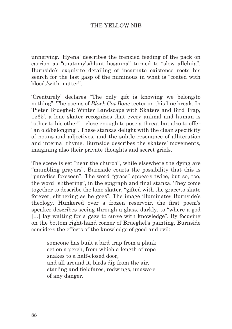unnerving. 'Hyena' describes the frenzied feeding of the pack on carrion as "anatomy's/blunt hosanna" turned to "slow alleluia". Burnside's exquisite detailing of incarnate existence roots his search for the last gasp of the numinous in what is "coated with blood,/with matter".

'Creaturely' declares "The only gift is knowing we belong/to nothing". The poems of *Black Cat Bone* teeter on this line break. In 'Pieter Brueghel: Winter Landscape with Skaters and Bird Trap, 1565', a lone skater recognizes that every animal and human is "other to his other" – close enough to pose a threat but also to offer "an old/belonging". These stanzas delight with the clean specificity of nouns and adjectives, and the subtle resonance of alliteration and internal rhyme. Burnside describes the skaters' movements, imagining also their private thoughts and secret griefs.

The scene is set "near the church", while elsewhere the dying are "mumbling prayers". Burnside courts the possibility that this is "paradise foreseen". The word "grace" appears twice, but so, too, the word "slithering", in the epigraph and final stanza. They come together to describe the lone skater, "gifted with the grace/to skate forever, slithering as he goes". The image illuminates Burnside's theology. Hunkered over a frozen reservoir, the first poem's speaker describes seeing through a glass, darkly, to "where a god [...] lay waiting for a gaze to curse with knowledge". By focusing on the bottom right-hand corner of Brueghel's painting, Burnside considers the effects of the knowledge of good and evil:

someone has built a bird trap from a plank set on a perch, from which a length of rope snakes to a half-closed door, and all around it, birds dip from the air, starling and fieldfares, redwings, unaware of any danger.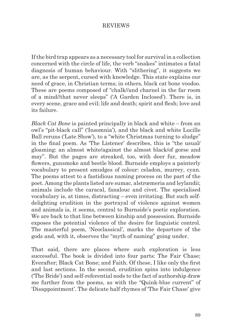Ifthe bird trap appears as a necessary tool for survival in a collection concerned with the circle of life, the verb "snakes" intimates a fatal diagnosis of human behaviour. With "slithering", it suggests we are, as the serpent, cursed with knowledge. This state explains our need of grace, in Christian terms; in others, black cat bone voodoo. These are poems composed of "chalk//and charnel in the far room of a mind//that never sleeps" ('A Garden Inclosed'). There is, in every scene, grace and evil; life and death; spirit and flesh; love and its failure.

*Black Cat Bone* is painted principally in black and white – from an owl's "pit-black call" ('Insomnia'), and the black and white Lucille Ball reruns ('Late Show'), to a "white Christmas turning to sludge" in the final poem. As 'The Listener' describes, this is "the usual/ gloaming: an almost white/against the almost black/of gorse and may". But the pages are streaked, too, with deer fur, meadow flowers, gunsmoke and beetle blood. Burnside employs a painterly vocabulary to present smudges of colour: celadon, murrey, cyan. The poems attest to a fastidious naming process on the part of the poet. Among the plants listed are sumac, alstrœmeria and leylandii; animals include the caracal, fanalouc and civet. The specialised vocabulary is, at times, distracting – even irritating. But such selfdelighting erudition in the portrayal of violence against women and animals is, it seems, central to Burnside's poetic exploration. We are back to that line between kinship and possession. Burnside exposes the potential violence of the desire for linguistic control. The masterful poem, 'Neoclassical', marks the departure of the gods and, with it, observes the "myth of naming" going under.

That said, there are places where such exploration is less successful. The book is divided into four parts: The Fair Chase; Everafter; Black Cat Bone; and Faith. Of these, I like only the first and last sections. In the second, erudition spins into indulgence ('The Bride') and self-referential nods to the fact of authorship draw me further from the poems, as with the "Quink-blue current" of 'Disappointment'. The delicate half rhymes of 'The Fair Chase' give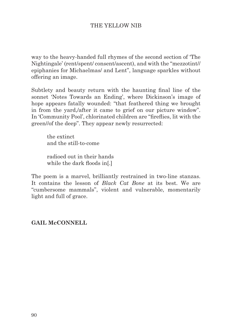way to the heavy-handed full rhymes of the second section of 'The Nightingale' (rent/spent/ consent/ascent), and with the "mezzotint// epiphanies for Michaelmas/ and Lent", language sparkles without offering an image.

Subtlety and beauty return with the haunting final line of the sonnet 'Notes Towards an Ending', where Dickinson's image of hope appears fatally wounded: "that feathered thing we brought in from the yard,/after it came to grief on our picture window". In 'Community Pool', chlorinated children are "fireflies, lit with the green//of the deep". They appear newly resurrected:

the extinct and the still-to-come

radioed out in their hands while the dark floods in[.]

The poem is a marvel, brilliantly restrained in two-line stanzas. It contains the lesson of *Black Cat Bone* at its best. We are "cumbersome mammals", violent and vulnerable, momentarily light and full of grace.

**GAIL McCONNELL**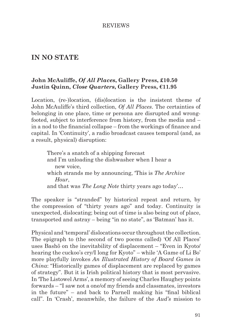# **IN NO STATE**

## **John McAuliffe,** *Of All Places***, Gallery Press, £10.50 Justin Quinn,** *Close Quarters***, Gallery Press, €11.95**

Location, (re-)location, (dis)location is the insistent theme of John McAuliffe's third collection, *Of All Places*. The certainties of belonging in one place, time or persona are disrupted and wrongfooted, subject to interference from history, from the media and – in a nod to the financial collapse – from the workings of finance and capital. In 'Continuity', a radio broadcast causes temporal (and, as a result, physical) disruption:

There's a snatch of a shipping forecast and I'm unloading the dishwasher when I hear a new voice, which strands me by announcing, 'This is *The Archive Hour*, and that was *The Long Note* thirty years ago today'…

The speaker is "stranded" by historical repeat and return, by the compression of "thirty years ago" and today. Continuity is unexpected, dislocating; being out of time is also being out of place, transported and astray – being "in no state", as 'Batman' has it.

Physical and 'temporal' dislocations occur throughout the collection. The epigraph to (the second of two poems called) 'Of All Places' uses Bashō on the inevitability of displacement – "Even in Kyoto/ hearing the cuckoo's cry/I long for Kyoto" – while 'A Game of Li Bo' more playfully invokes *An Illustrated History of Board Games in China*: "Historically games of displacement are replaced by games of strategy". But it is Irish political history that is most pervasive. In 'The Listowel Arms', a memory of seeing Charles Haughey points forwards – "I saw not a one/of my friends and classmates, investors in the future" – and back to Parnell making his "final biblical call". In 'Crash', meanwhile, the failure of the *Aud's* mission to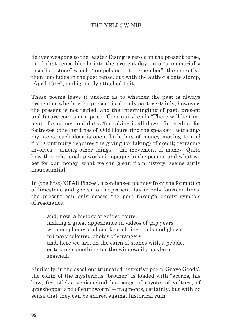deliver weapons to the Easter Rising is retold in the present tense, until that tense bleeds into the present day, into "a memorial's/ inscribed stone" which "compels us ... to remember"; the narrative then concludes in the past tense, but with the author's date stamp, "April 1916", ambiguously attached to it.

These poems leave it unclear as to whether the past is always present or whether the present is already past; certainly, however, the present is not reified, and the intermingling of past, present and future comes at a price. 'Continuity' ends "There will be time again for names and dates,/for taking it all down, for credits, for footnotes"; the last lines of 'Odd Hours' find the speaker "Retracing/ my steps, each door is open, little bits of money moving to and fro". Continuity requires the giving (or taking) of credit; retracing involves – among other things – the movement of money. Quite how this relationship works is opaque in the poems, and what we get for our money, what we can glean from history, seems airily insubstantial.

In (the first) 'Of All Places', a condensed journey from the formation of limestone and gneiss to the present day in only fourteen lines, the present can only access the past through empty symbols of resonance:

and, now, a history of guided tours, making a guest appearance in videos of gap years with earphones and smoke and ring roads and glossy primary coloured photos of strangers and, here we are, on the cairn of stones with a pebble, or taking something for the windowsill, maybe a seashell.

Similarly, in the excellent truncated-narrative poem 'Grave Goods', the coffin of the mysterious "brother" is loaded with "acorns, his bow, fire sticks, venison/and his songs of coyote, of vulture, of grasshopper and of earthworm" – fragments, certainly, but with no sense that they can be shored against historical ruin.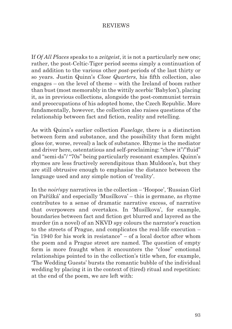If *Of All Places* speaks to a *zeitgeist*, it is not a particularly new one; rather, the post-Celtic-Tiger period seems simply a continuation of and addition to the various other *post*-periods of the last thirty or so years. Justin Quinn's *Close Quarters*, his fifth collection, also engages – on the level of theme – with the Ireland of boom rather than bust (most memorably in the wittily acerbic 'Babylon'), placing it, as in previous collections, alongside the post-communist terrain and preoccupations of his adopted home, the Czech Republic. More fundamentally, however, the collection also raises questions of the relationship between fact and fiction, reality and retelling.

As with Quinn's earlier collection *Fuselage*, there is a distinction between form and substance, and the possibility that form might gloss (or, worse, reveal) a lack of substance. Rhyme is the mediator and driver here, ostentatious and self-proclaiming: "chew it"/"fluid" and "semi-ds"/ "70s" being particularly resonant examples. Quinn's rhymes are less fructively serendipitous than Muldoon's, but they are still obtrusive enough to emphasise the distance between the language used and any simple notion of 'reality'.

In the *noir*/spy narratives in the collection – 'Hoopoe', 'Russian Girl on Pařížká' and especially 'Musílkova' – this is germane, as rhyme contributes to a sense of dramatic narrative excess, of narrative that overpowers and overtakes. In 'Musílkova', for example, boundaries between fact and fiction get blurred and layered as the murder (in a novel) of an NKVD spy colours the narrator's reaction to the streets of Prague, and complicates the real-life execution – "in 1940 for his work in resistance" – of a local doctor after whom the poem and a Prague street are named. The question of empty form is more fraught when it encounters the "close" emotional relationships pointed to in the collection's title when, for example, 'The Wedding Guests' bursts the romantic bubble of the individual wedding by placing it in the context of (tired) ritual and repetition: at the end of the poem, we are left with: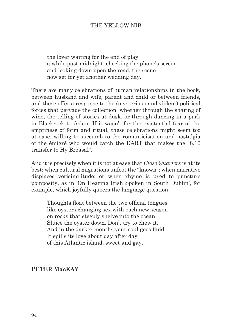the lover waiting for the end of play a while past midnight, checking the phone's screen and looking down upon the road, the scene now set for yet another wedding day.

There are many celebrations of human relationships in the book, between husband and wife, parent and child or between friends, and these offer a response to the (mysterious and violent) political forces that pervade the collection, whether through the sharing of wine, the telling of stories at dusk, or through dancing in a park in Blackrock to Aslan. If it wasn't for the existential fear of the emptiness of form and ritual, these celebrations might seem too at ease, willing to succumb to the romanticisation and nostalgia of the émigré who would catch the DART that makes the "8.10 transfer to Hy Breasal".

And it is precisely when it is not at ease that *Close Quarters* is at its best: when cultural migrations unfoot the "known"; when narrative displaces verisimilitude; or when rhyme is used to puncture pomposity, as in 'On Hearing Irish Spoken in South Dublin', for example, which joyfully queers the language question:

Thoughts float between the two official tongues like oysters changing sex with each new season on rocks that steeply shelve into the ocean. Sluice the oyster down. Don't try to chew it. And in the darker months your soul goes fluid. It spills its love about day after day of this Atlantic island, sweet and gay.

#### **PETER MacKAY**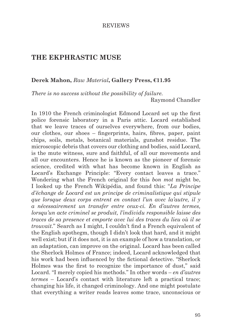## **THE EKPHRASTIC MUSE**

#### **Derek Mahon,** *Raw Material***, Gallery Press, €11.95**

*There is no success without the possibility of failure.*

Raymond Chandler

In 1910 the French criminologist Edmond Locard set up the first police forensic laboratory in a Paris attic. Locard established that we leave traces of ourselves everywhere, from our bodies, our clothes, our shoes – fingerprints, hairs, fibres, paper, paint chips, soils, metals, botanical materials, gunshot residue. The microscopic debris that covers our clothing and bodies, said Locard, is the mute witness, sure and faithful, of all our movements and all our encounters. Hence he is known as the pioneer of forensic science, credited with what has become known in English as Locard's Exchange Principle: "Every contact leaves a trace." Wondering what the French original for this *bon mot* might be, I looked up the French Wikipédia, and found this: "*La Principe d'échange de Locard est un principe de criminalistique qui stipule que lorsque deux corps entrent en contact l'un avec la'autre, il y a nécessairement un transfer entre ceux-ci. En d'autres termes, lorsqu'un acte criminel se produit, l'individu responsible laisse des traces de sa presence et emporte avec lui des traces du lieu où il se trouvait*." Search as I might, I couldn't find a French equivalent of the English apothegm, though I didn't look that hard, and it might well exist; but if it does not, it is an example of how a translation, or an adaptation, can improve on the original. Locard has been called the Sherlock Holmes of France; indeed, Locard acknowledged that his work had been influenced by the fictional detective. "Sherlock Holmes was the first to recognize the importance of dust," said Locard. "I merely copied his methods." In other words – *en d'autres termes* – Locard's contact with literature left a practical trace; changing his life, it changed criminology. And one might postulate that everything a writer reads leaves some trace, unconscious or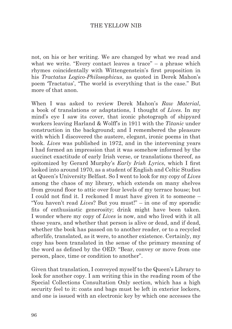not, on his or her writing. We are changed by what we read and what we write. "Every contact leaves a trace" – a phrase which rhymes coincidentally with Wittengenstein's first proposition in his *Tractatus Logico-Philosophicus*, as quoted in Derek Mahon's poem 'Tractatus', "The world is everything that is the case." But more of that anon.

When I was asked to review Derek Mahon's *Raw Material*, a book of translations or adaptations, I thought of *Lives*. In my mind's eye I saw its cover, that iconic photograph of shipyard workers leaving Harland & Wolff's in 1911 with the *Titanic* under construction in the background; and I remembered the pleasure with which I discovered the austere, elegant, ironic poems in that book. *Lives* was published in 1972, and in the intervening years I had formed an impression that it was somehow informed by the succinct exactitude of early Irish verse, or translations thereof, as epitomized by Gerard Murphy's *Early Irish Lyrics*, which I first looked into around 1970, as a student of English and Celtic Studies at Queen's University Belfast. So I went to look for my copy of *Lives* among the chaos of my library, which extends on many shelves from ground floor to attic over four levels of my terrace house; but I could not find it. I reckoned I must have given it to someone – "You haven't read *Lives*? But you must!" – in one of my sporadic fits of enthusiastic generosity; drink might have been taken. I wonder where my copy of *Lives* is now, and who lived with it all these years, and whether that person is alive or dead, and if dead, whether the book has passed on to another reader, or to a recycled afterlife, translated, as it were, to another existence. Certainly, my copy has been translated in the sense of the primary meaning of the word as defined by the OED: "Bear, convey or move from one person, place, time or condition to another".

Given that translation, I conveyed myself to the Queen's Library to look for another copy. I am writing this in the reading room of the Special Collections Consultation Only section, which has a high security feel to it: coats and bags must be left in exterior lockers, and one is issued with an electronic key by which one accesses the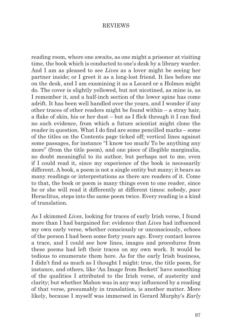reading room, where one awaits, as one might a prisoner at visiting time, the book which is conducted to one's desk by a library warder. And I am as pleased to see *Lives* as a lover might be seeing her partner inside; or I greet it as a long-lost friend. It lies before me on the desk, and I am examining it as a Locard or a Holmes might do. The cover is slightly yellowed, but not nicotined, as mine is, as I remember it, and a half-inch section of the lower spine has come adrift. It has been well handled over the years, and I wonder if any other traces of other readers might be found within – a stray hair, a flake of skin, his or her dust – but as I flick through it I can find no such evidence, from which a future scientist might clone the reader in question. What I do find are some pencilled marks – some of the titles on the Contents page ticked off; vertical lines against some passages, for instance "I know too much/ To be anything any more" (from the title poem), and one piece of illegible marginalia, no doubt meaningful to its author, but perhaps not to me, even if I could read it, since my experience of the book is necessarily different. A book, a poem is not a single entity but many; it bears as many readings or interpretations as there are readers of it. Come to that, the book or poem is many things even to one reader, since he or she will read it differently at different times: nobody, *pace* Heraclitus, steps into the same poem twice. Every reading is a kind of translation.

As I skimmed *Lives*, looking for traces of early Irish verse, I found more than I had bargained for: evidence that *Lives* had influenced my own early verse, whether consciously or unconsciously, echoes of the person I had been some forty years ago. Every contact leaves a trace, and I could see how lines, images and procedures from these poems had left their traces on my own work. It would be tedious to enumerate them here. As for the early Irish business, I didn't find as much as I thought I might: true, the title poem, for instance, and others, like 'An Image from Beckett' have something of the qualities I attributed to the Irish verse, of austerity and clarity; but whether Mahon was in any way influenced by a reading of that verse, presumably in translation, is another matter. More likely, because I myself was immersed in Gerard Murphy's *Early*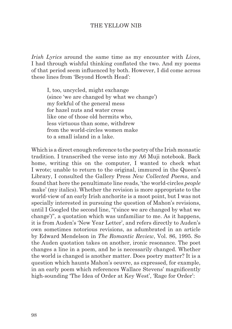*Irish Lyrics* around the same time as my encounter with *Lives*, I had through wishful thinking conflated the two. And my poems of that period seem influenced by both. However, I did come across these lines from 'Beyond Howth Head':

I, too, uncycled, might exchange (since 'we are changed by what we change') my forkful of the general mess for hazel nuts and water cress like one of those old hermits who, less virtuous than some, withdrew from the world-circles women make to a small island in a lake.

Which is a direct enough reference to the poetry of the Irish monastic tradition. I transcribed the verse into my A6 Muji notebook. Back home, writing this on the computer, I wanted to check what I wrote; unable to return to the original, immured in the Queen's Library, I consulted the Gallery Press *New Collected Poems*, and found that here the penultimate line reads, 'the world-circles *people* make' (my italics). Whether the revision is more appropriate to the world-view of an early Irish anchorite is a moot point, but I was not specially interested in pursuing the question of Mahon's revisions, until I Googled the second line, "('since we are changed by what we change')", a quotation which was unfamiliar to me. As it happens, it is from Auden's 'New Year Letter', and refers directly to Auden's own sometimes notorious revisions, as adumbrated in an article by Edward Mendelson in *The Romantic Review*, Vol. 86, 1995. So the Auden quotation takes on another, ironic resonance. The poet changes a line in a poem, and he is necessarily changed. Whether the world is changed is another matter. Does poetry matter? It is a question which haunts Mahon's oeuvre, as expressed, for example, in an early poem which references Wallace Stevens' magnificently high-sounding 'The Idea of Order at Key West', 'Rage for Order':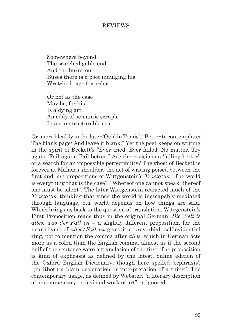Somewhere beyond The scorched gable end And the burnt-out Buses there is a poet indulging his Wretched rage for order –

Or not as the case May be, for his Is a dying art, An eddy of semantic scruple In an unstructurable sea.

Or, more bleakly in the later 'Ovid in Tomis',"Better to contemplate/ The blank page/ And leave it blank." Yet the poet keeps on writing in the spirit of Beckett's "Ever tried. Ever failed. No matter. Try again. Fail again. Fail better." Are the revisions a 'failing better', or a search for an impossible perfectibility? The ghost of Beckett is forever at Mahon's shoulder, the act of writing poised between the first and last propositions of Wittgenstein's *Tractatus*: "The world is everything that is the case"; "Whereof one cannot speak, thereof one must be silent". The later Wittgenstein retracted much of the *Tractatus*, thinking that since the world is inescapably mediated through language, our world depends on how things are said. Which brings us back to the question of translation. Wittgenstein's First Proposition reads thus in the original German: *Die Welt is alles, was der Fall ist* – a slightly different proposition, for the near-rhyme of *alles/Fall ist* gives it a proverbial, self-evidential ring, not to mention the comma after *alles*, which in German acts more as a colon than the English comma, almost as if the second half of the sentence were a translation of the first. The proposition is kind of ekphrasis as defined by the latest, online edition of the Oxford English Dictionary, though here spelled 'ecphrasis', "(in Rhet.) a plain declaration or interpretation of a thing". The contemporary usage, as defined by Webster, "a literary description of or commentary on a visual work of art", is ignored.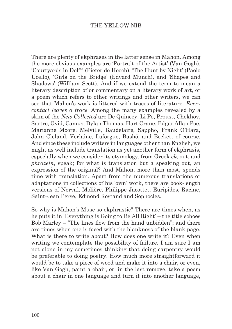There are plenty of ekphrases in the latter sense in Mahon. Among the more obvious examples are 'Portrait of the Artist' (Van Gogh), 'Courtyards in Delft' (Pieter de Hooch), 'The Hunt by Night' (Paolo Ucello), 'Girls on the Bridge' (Edvard Munch), and 'Shapes and Shadows' (William Scott). And if we extend the term to mean a literary description of or commentary on a literary work of art, or a poem which refers to other writings and other writers, we can see that Mahon's work is littered with traces of literature. *Every contact leaves a trace*. Among the many examples revealed by a skim of the *New Collected* are De Quincey, Li Po, Proust, Chekhov, Sartre, Ovid, Camus, Dylan Thomas, Hart Crane, Edgar Allan Poe, Marianne Moore, Melville, Baudelaire, Sappho, Frank O'Hara, John Cleland, Verlaine, Laforgue, Bashō, and Beckett of course. And since these include writers in languages other than English, we might as well include translation as yet another form of ekphrasis, especially when we consider its etymology, from Greek *ek*, out, and *phrazein*, speak; for what is translation but a speaking out, an expression of the original? And Mahon, more than most, spends time with translation. Apart from the numerous translations or adaptations in collections of his 'own' work, there are book-length versions of Nerval, Molière, Philippe Jacottet, Euripides, Racine, Saint-Jean Perse, Edmond Rostand and Sophocles.

So why is Mahon's Muse so ekphrastic? There are times when, as he puts it in 'Everything is Going to Be All Right' – the title echoes Bob Marley – "The lines flow from the hand unbidden"; and there are times when one is faced with the blankness of the blank page. What is there to write about? How does one write it? Even when writing we contemplate the possibility of failure. I am sure I am not alone in my sometimes thinking that doing carpentry would be preferable to doing poetry. How much more straightforward it would be to take a piece of wood and make it into a chair, or even, like Van Gogh, paint a chair, or, in the last remove, take a poem about a chair in one language and turn it into another language,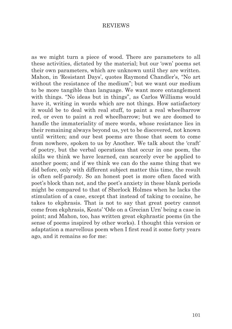as we might turn a piece of wood. There are parameters to all these activities, dictated by the material; but our 'own' poems set their own parameters, which are unknown until they are written. Mahon, in 'Resistant Days', quotes Raymond Chandler's, "No art without the resistance of the medium"; but we want our medium to be more tangible than language. We want more entanglement with things. "No ideas but in things", as Carlos Williams would have it, writing in words which are not things. How satisfactory it would be to deal with real stuff, to paint a real wheelbarrow red, or even to paint a red wheelbarrow; but we are doomed to handle the immateriality of mere words, whose resistance lies in their remaining always beyond us, yet to be discovered, not known until written; and our best poems are those that seem to come from nowhere, spoken to us by Another. We talk about the 'craft' of poetry, but the verbal operations that occur in one poem, the skills we think we have learned, can scarcely ever be applied to another poem; and if we think we can do the same thing that we did before, only with different subject matter this time, the result is often self-parody. So an honest poet is more often faced with poet's block than not, and the poet's anxiety in these blank periods might be compared to that of Sherlock Holmes when he lacks the stimulation of a case, except that instead of taking to cocaine, he takes to ekphrasis. That is not to say that great poetry cannot come from ekphrasis, Keats' 'Ode on a Grecian Urn' being a case in point; and Mahon, too, has written great ekphrastic poems (in the sense of poems inspired by other works). I thought this version or adaptation a marvellous poem when I first read it some forty years ago, and it remains so for me: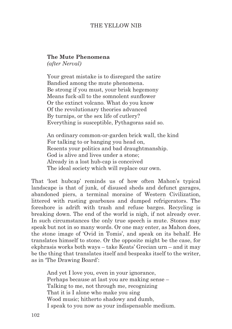## **The Mute Phenomena**

*(after Nerval)*

Your great mistake is to disregard the satire Bandied among the mute phenomena. Be strong if you must, your brisk hegemony Means fuck-all to the somnolent sunflower Or the extinct volcano. What do you know Of the revolutionary theories advanced By turnips, or the sex life of cutlery? Everything is susceptible, Pythagoras said so.

An ordinary common-or-garden brick wall, the kind For talking to or banging you head on, Resents your politics and bad draughtmanship. God is alive and lives under a stone; Already in a lost hub-cap is conceived The ideal society which will replace our own.

That 'lost hubcap' reminds us of how often Mahon's typical landscape is that of junk, of disused sheds and defunct garages, abandoned piers, a terminal moraine of Western Civilization, littered with rusting gearboxes and dumped refrigerators. The foreshore is adrift with trash and refuse barges. Recycling is breaking down. The end of the world is nigh, if not already over. In such circumstances the only true speech is mute. Stones may speak but not in so many words. Or one may enter, as Mahon does, the stone image of 'Ovid in Tomis', and speak on its behalf. He translates himself to stone. Or the opposite might be the case, for ekphrasis works both ways – take Keats' Grecian urn – and it may be the thing that translates itself and bespeaks itself to the writer, as in 'The Drawing Board':

And yet I love you, even in your ignorance, Perhaps because at last you are making sense – Talking to me, not through me, recognizing That it is I alone who make you sing Wood music; hitherto shadowy and dumb, I speak to you now as your indispensable medium.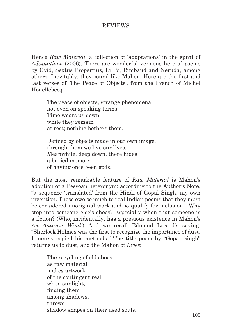Hence *Raw Material*, a collection of 'adaptations' in the spirit of *Adaptations* (2006). There are wonderful versions here of poems by Ovid, Sextus Propertius, Li Po, Rimbaud and Neruda, among others. Inevitably, they sound like Mahon. Here are the first and last verses of 'The Peace of Objects', from the French of Michel Houellebecq:

The peace of objects, strange phenomena, not even on speaking terms. Time wears us down while they remain at rest; nothing bothers them.

Defined by objects made in our own image, through them we live our lives. Meanwhile, deep down, there hides a buried memory of having once been gods.

But the most remarkable feature of *Raw Material* is Mahon's adoption of a Pessoan heteronym: according to the Author's Note, "a sequence 'translated' from the Hindi of Gopal Singh, my own invention. These owe so much to real Indian poems that they must be considered unoriginal work and so qualify for inclusion." Why step into someone else's shoes? Especially when that someone is a fiction? (Who, incidentally, has a previous existence in Mahon's *An Autumn Wind*.) And we recall Edmond Locard's saying, "Sherlock Holmes was the first to recognize the importance of dust. I merely copied his methods." The title poem by "Gopal Singh" returns us to dust, and the Mahon of *Lives*:

The recycling of old shoes as raw material makes artwork of the contingent real when sunlight, finding them among shadows, throws shadow shapes on their used souls.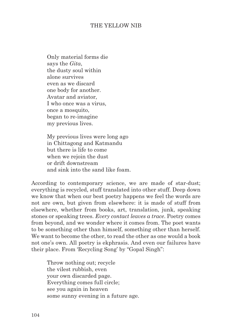Only material forms die says the *Gita*, the dusty soul within alone survives even as we discard one body for another. Avatar and aviator, I who once was a virus, once a mosquito, began to re-imagine my previous lives.

My previous lives were long ago in Chittagong and Katmandu but there is life to come when we rejoin the dust or drift downstream and sink into the sand like foam.

According to contemporary science, we are made of star-dust; everything is recycled, stuff translated into other stuff. Deep down we know that when our best poetry happens we feel the words are not are own, but given from elsewhere: it is made of stuff from elsewhere, whether from books, art, translation, junk, speaking stones or speaking trees. *Every contact leaves a trace*. Poetry comes from beyond, and we wonder where it comes from. The poet wants to be something other than himself, something other than herself. We want to become the other, to read the other as one would a book not one's own. All poetry is ekphrasis. And even our failures have their place. From 'Recycling Song' by "Gopal Singh":

Throw nothing out; recycle the vilest rubbish, even your own discarded page. Everything comes full circle; see you again in heaven some sunny evening in a future age.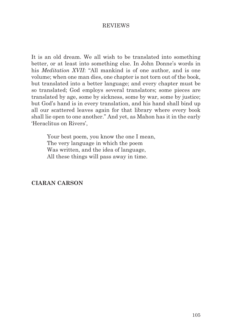It is an old dream. We all wish to be translated into something better, or at least into something else. In John Donne's words in his *Meditation XVII*: "All mankind is of one author, and is one volume; when one man dies, one chapter is not torn out of the book, but translated into a better language; and every chapter must be so translated; God employs several translators; some pieces are translated by age, some by sickness, some by war, some by justice; but God's hand is in every translation, and his hand shall bind up all our scattered leaves again for that library where every book shall lie open to one another." And yet, as Mahon has it in the early 'Heraclitus on Rivers',

Your best poem, you know the one I mean, The very language in which the poem Was written, and the idea of language, All these things will pass away in time.

#### **CIARAN CARSON**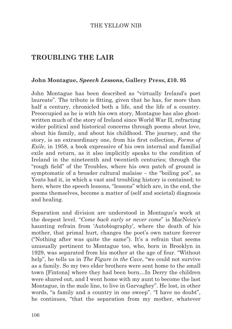# **TROUBLING THE LAIR**

#### **John Montague,** *Speech Lessons***, Gallery Press, £10. 95**

John Montague has been described as "virtually Ireland's poet laureate". The tribute is fitting, given that he has, for more than half a century, chronicled both a life, and the life of a country. Preoccupied as he is with his own story, Montague has also ghostwritten much of the story of Ireland since World War II, refracting wider political and historical concerns through poems about love, about his family, and about his childhood. The journey, and the story, is an extraordinary one, from his first collection, *Forms of Exile*, in 1958, a book expressive of his own internal and familial exile and return, as it also implicitly speaks to the condition of Ireland in the nineteenth and twentieth centuries; through the "rough field" of the Troubles, where his own patch of ground is symptomatic of a broader cultural malaise – the "boiling pot", as Yeats had it, in which a vast and troubling history is contained; to here, where the speech lessons, "lessons" which are, in the end, the poems themselves, become a matter of (self and societal) diagnosis and healing.

Separation and division are understood in Montague's work at the deepest level. "*Come back early or never come*" is MacNeice's haunting refrain from 'Autobiography', where the death of his mother, that primal hurt, changes the poet's own nature forever ("Nothing after was quite the same"). It's a refrain that seems unusually pertinent to Montague too, who, born in Brooklyn in 1929, was separated from his mother at the age of four. "Without help", he tells us in *The Figure in the Cave*, "we could not survive as a family. So my two elder brothers were sent home to the small town [Fintona] where they had been born…In Derry the children were shared out, and I went home with my aunt to become the last Montague, in the male line, to live in Garvaghey". He lost, in other words, "a family and a country in one sweep". "I have no doubt", he continues, "that the separation from my mother, whatever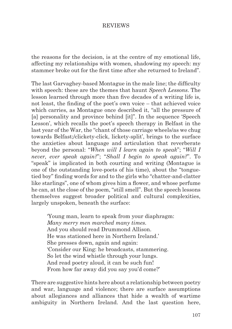the reasons for the decision, is at the centre of my emotional life, affecting my relationships with women, shadowing my speech: my stammer broke out for the first time after she returned to Ireland".

The last Garvaghey-based Montague in the male line; the difficulty with speech: these are the themes that haunt *Speech Lessons*. The lesson learned through more than five decades of a writing life is, not least, the finding of the poet's own voice – that achieved voice which carries, as Montague once described it, "all the pressure of [a] personality and province behind [it]". In the sequence 'Speech Lesson', which recalls the poet's speech therapy in Belfast in the last year of the War, the "chant of those carriage wheels/as we chug towards Belfast;/clickety-click, lickety-split', brings to the surface the anxieties about language and articulation that reverberate beyond the personal: "*When will I learn again to speak*"; "*Will I never, ever speak again?*"; "*Shall I begin to speak again?*". To "speak" is implicated in both courting and writing (Montague is one of the outstanding love-poets of his time), about the "tonguetied boy" finding words for and to the girls who "chatter-and-clatter like starlings", one of whom gives him a flower, and whose perfume he can, at the close of the poem, "still smell". But the speech lessons themselves suggest broader political and cultural complexities, largely unspoken, beneath the surface:

'Young man, learn to speak from your diaphragm: *Many merry men marched many times.* And you should read Drummond Allison. He was stationed here in Northern Ireland.' She presses down, again and again: 'Consider our King: he broadcasts, stammering. So let the wind whistle through your lungs. And read poetry aloud, it can be such fun! From how far away did you say you'd come?'

There are suggestive hints here about a relationship between poetry and war, language and violence; there are surface assumptions about allegiances and alliances that hide a wealth of wartime ambiguity in Northern Ireland. And the last question here,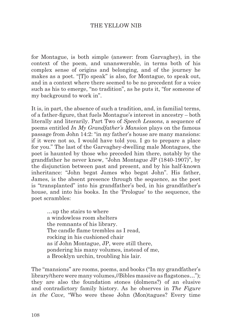for Montague, is both simple (answer: from Garvaghey), in the context of the poem, and unanswerable, in terms both of his complex sense of origins and belonging, and of the journey he makes as a poet. "[T]o speak" is also, for Montague, to speak out, and in a context where there seemed to be no precedent for a voice such as his to emerge, "no tradition", as he puts it, "for someone of my background to work in".

It is, in part, the absence of such a tradition, and, in familial terms, of a father-figure, that fuels Montague's interest in ancestry – both literally and literarily. Part Two of *Speech Lessons*, a sequence of poems entitled *In My Grandfather's Mansion* plays on the famous passage from John 14:2: "in my father's house are many mansions: if it were not so, I would have told you. I go to prepare a place for you." The last of the Garvaghey-dwelling male Montagues, the poet is haunted by those who preceded him there, notably by the grandfather he never knew, "John Montague JP (1840-1907)", by the disjunction between past and present, and by his half-known inheritance: "John begat James who begat John". His father, James, is the absent presence through the sequence, as the poet is "transplanted" into his grandfather's bed, in his grandfather's house, and into his books. In the 'Prologue' to the sequence, the poet scrambles:

…up the stairs to where a windowless room shelters the remnants of his library. The candle flame trembles as I read, rocking in his cushioned chair as if John Montague, JP, were still there, pondering his many volumes, instead of me, a Brooklyn urchin, troubling his lair.

The "mansions" are rooms, poems, and books ("In my grandfather's library/there were many volumes,//Bibles massive as flagstones…"); they are also the foundation stones (dolmens?) of an elusive and contradictory family history. As he observes in *The Figure in the Cave*, "Who were these John (Mon)tagues? Every time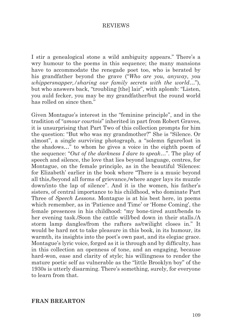#### **REVIEWS**

I stir a genealogical stone a wild ambiguity appears." There's a wry humour to the poems in this sequence; the many mansions have to accommodate the renegade poet too, who is berated by his grandfather beyond the grave ("*Who are you, anyway, you whippersnapper,/sharing our family secrets with the world…*"), but who answers back, "troubling [the] lair", with aplomb: "Listen, you auld fecker, you may be my grandfather/but the round world has rolled on since then."

Given Montague's interest in the "feminine principle", and in the tradition of "*amour courtois*" inherited in part from Robert Graves, it is unsurprising that Part Two of this collection prompts for him the question: "But who was my grandmother?" She is "Silence. Or almost", a single surviving photograph, a "solemn figure/lost in the shadows…" to whom he gives a voice in the eighth poem of the sequence: "*Out of the darkness I dare to speak…*". The play of speech and silence, the love that lies beyond language, centres, for Montague, on the female principle, as in the beautiful 'Silences: for Elizabeth' earlier in the book where "There is a music beyond all this,/beyond all forms of grievance,/where anger lays its muzzle down/into the lap of silence". And it is the women, his father's sisters, of central importance to his childhood, who dominate Part Three of *Speech Lessons*. Montague is at his best here, in poems which remember, as in 'Patience and Time' or 'Home Coming', the female presences in his childhood: "my bone-tired aunt/bends to her evening task./Soon the cattle will/bed down in their stalls./A storm lamp dangles/from the rafters as/twilight closes in." It would be hard not to take pleasure in this book, in its humour, its warmth, its insights into the poet's own past, and its elegiac grace. Montague's lyric voice, forged as it is through and by difficulty, has in this collection an openness of tone, and an engaging, because hard-won, ease and clarity of style; his willingness to render the mature poetic self as vulnerable as the "little Brooklyn boy" of the 1930s is utterly disarming. There's something, surely, for everyone to learn from that.

#### **FRAN BREARTON**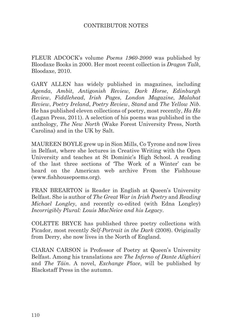#### CONTRIBUTOR NOTES

FLEUR ADCOCK's volume *Poems 1960-2000* was published by Bloodaxe Books in 2000. Her most recent collection is *Dragon Talk*, Bloodaxe, 2010.

GARY ALLEN has widely published in magazines, including *Agenda*, *Ambit*, *Antigonish Review*, *Dark Horse*, *Edinburgh Review*, *Fiddlehead*, *Irish Pages*, *London Magazine*, *Malahat Review*, *Poetry Ireland*, *Poetry Review*, *Stand* and *The Yellow Nib*. He has published eleven collections of poetry, most recently, *Ha Ha*  (Lagan Press, 2011). A selection of his poems was published in the anthology, *The New North* (Wake Forest University Press, North Carolina) and in the UK by Salt.

MAUREEN BOYLE grew up in Sion Mills, Co Tyrone and now lives in Belfast, where she lectures in Creative Writing with the Open University and teaches at St Dominic's High School. A reading of the last three sections of 'The Work of a Winter' can be heard on the American web archive From the Fishhouse (www.fishhousepoems.org).

FRAN BREARTON is Reader in English at Queen's University Belfast. She is author of *The Great War in Irish Poetry* and *Reading Michael Longley*, and recently co-edited (with Edna Longley) *Incorrigibly Plural: Louis MacNeice and his Legacy*.

COLETTE BRYCE has published three poetry collections with Picador, most recently *Self-Portrait in the Dark* (2008). Originally from Derry, she now lives in the North of England.

CIARAN CARSON is Professor of Poetry at Queen's University Belfast. Among his translations are *The Inferno of Dante Alighieri*  and *The Táin*. A novel, *Exchange Place*, will be published by Blackstaff Press in the autumn.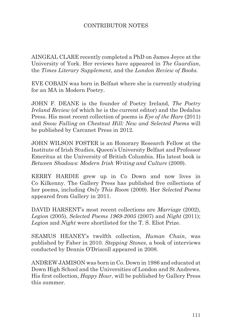# CONTRIBUTOR NOTES

AINGEAL CLARE recently completed a PhD on James Joyce at the University of York. Her reviews have appeared in *The Guardian*, the *Times Literary Supplement*, and the *London Review of Books*.

EVE COBAIN was born in Belfast where she is currently studying for an MA in Modern Poetry.

JOHN F. DEANE is the founder of Poetry Ireland, *The Poetry Ireland Review* (of which he is the current editor) and the Dedalus Press. His most recent collection of poems is *Eye of the Hare* (2011) and *Snow Falling on Chestnut Hill: New and Selected Poems* will be published by Carcanet Press in 2012.

JOHN WILSON FOSTER is an Honorary Research Fellow at the Institute of Irish Studies, Queen's University Belfast and Professor Emeritus at the University of British Columbia. His latest book is *Between Shadows: Modern Irish Writing and Culture* (2009).

KERRY HARDIE grew up in Co Down and now lives in Co Kilkenny. The Gallery Press has published five collections of her poems, including *Only This Room* (2009). Her *Selected Poems*  appeared from Gallery in 2011.

DAVID HARSENT's most recent collections are *Marriage* (2002), *Legion* (2005), *Selected Poems 1969-2005* (2007) and *Night* (2011); *Legion* and *Night* were shortlisted for the T. S. Eliot Prize.

SEAMUS HEANEY's twelfth collection, *Human Chain*, was published by Faber in 2010. *Stepping Stones*, a book of interviews conducted by Dennis O'Driscoll appeared in 2008.

ANDREW JAMISON was born in Co. Down in 1986 and educated at Down High School and the Universities of London and St Andrews. His first collection, *Happy Hour*, will be published by Gallery Press this summer.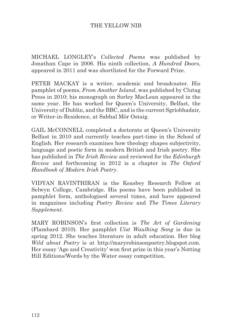# the yellow nib

MICHAEL LONGLEY's *Collected Poems* was published by Jonathan Cape in 2006. His ninth collection, *A Hundred Doors*, appeared in 2011 and was shortlisted for the Forward Prize.

PETER MACKAY is a writer, academic and broadcaster. His pamphlet of poems, *From Another Island*, was published by Clutag Press in 2010; his monograph on Sorley MacLean appeared in the same year. He has worked for Queen's University, Belfast, the University of Dublin, and the BBC, and is the current Sgrìobhadair, or Writer-in-Residence, at Sabhal Mòr Ostaig.

GAIL McCONNELL completed a doctorate at Queen's University Belfast in 2010 and currently teaches part-time in the School of English. Her research examines how theology shapes subjectivity, language and poetic form in modern British and Irish poetry. She has published in *The Irish Review* and reviewed for the *Edinburgh Review* and forthcoming in 2012 is a chapter in *The Oxford Handbook of Modern Irish Poetry*.

VIDYAN RAVINTHIRAN is the Keasbey Research Fellow at Selwyn College, Cambridge. His poems have been published in pamphlet form, anthologised several times, and have appeared in magazines including *Poetry Review* and *The Times Literary Supplement*.

MARY ROBINSON's first collection is *The Art of Gardening* (Flambard 2010). Her pamphlet *Uist Waulking Song* is due in spring 2012. She teaches literature in adult education. Her blog *Wild about Poetry* is at http://maryrobinsonpoetry.blogspot.com. Her essay 'Age and Creativity' won first prize in this year's Notting Hill Editions/Words by the Water essay competition.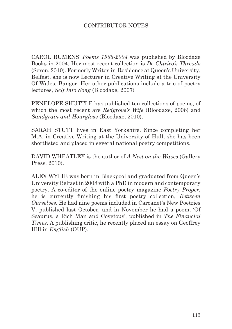# CONTRIBUTOR NOTES

CAROL RUMENS' *Poems 1968-2004* was published by Bloodaxe Books in 2004. Her most recent collection is *De Chirico's Threads*  (Seren, 2010). Formerly Writer-in-Residence at Queen's University, Belfast, she is now Lecturer in Creative Writing at the University Of Wales, Bangor. Her other publications include a trio of poetry lectures, *Self Into Song* (Bloodaxe, 2007)

PENELOPE SHUTTLE has published ten collections of poems, of which the most recent are *Redgrove's Wife* (Bloodaxe, 2006) and *Sandgrain and Hourglass* (Bloodaxe, 2010).

SARAH STUTT lives in East Yorkshire. Since completing her M.A. in Creative Writing at the University of Hull, she has been shortlisted and placed in several national poetry competitions.

DAVID WHEATLEY is the author of *A Nest on the Waves* (Gallery Press, 2010).

ALEX WYLIE was born in Blackpool and graduated from Queen's University Belfast in 2008 with a PhD in modern and contemporary poetry. A co-editor of the online poetry magazine *Poetry Proper*, he is currently finishing his first poetry collection, *Between Ourselves*. He had nine poems included in Carcanet's New Poetries V, published last October, and in November he had a poem, 'Of Scaurus, a Rich Man and Covetous', published in *The Financial Times*. A publishing critic, he recently placed an essay on Geoffrey Hill in *English* (OUP).